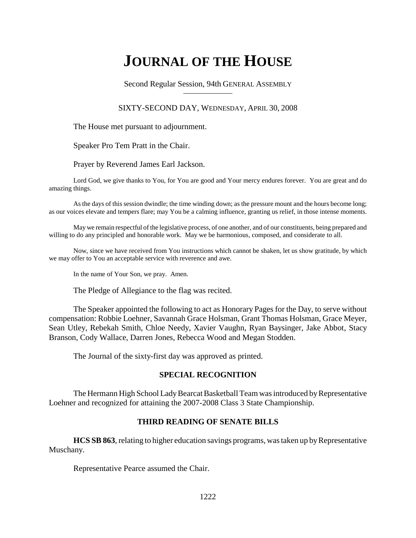# **JOURNAL OF THE HOUSE**

Second Regular Session, 94th GENERAL ASSEMBLY

## SIXTY-SECOND DAY, WEDNESDAY, APRIL 30, 2008

The House met pursuant to adjournment.

Speaker Pro Tem Pratt in the Chair.

Prayer by Reverend James Earl Jackson.

Lord God, we give thanks to You, for You are good and Your mercy endures forever. You are great and do amazing things.

As the days of this session dwindle; the time winding down; as the pressure mount and the hours become long; as our voices elevate and tempers flare; may You be a calming influence, granting us relief, in those intense moments.

May we remain respectful of the legislative process, of one another, and of our constituents, being prepared and willing to do any principled and honorable work. May we be harmonious, composed, and considerate to all.

Now, since we have received from You instructions which cannot be shaken, let us show gratitude, by which we may offer to You an acceptable service with reverence and awe.

In the name of Your Son, we pray. Amen.

The Pledge of Allegiance to the flag was recited.

The Speaker appointed the following to act as Honorary Pages for the Day, to serve without compensation: Robbie Loehner, Savannah Grace Holsman, Grant Thomas Holsman, Grace Meyer, Sean Utley, Rebekah Smith, Chloe Needy, Xavier Vaughn, Ryan Baysinger, Jake Abbot, Stacy Branson, Cody Wallace, Darren Jones, Rebecca Wood and Megan Stodden.

The Journal of the sixty-first day was approved as printed.

## **SPECIAL RECOGNITION**

The Hermann High School Lady Bearcat Basketball Team was introduced by Representative Loehner and recognized for attaining the 2007-2008 Class 3 State Championship.

## **THIRD READING OF SENATE BILLS**

**HCS SB 863**, relating to higher education savings programs, was taken up by Representative Muschany.

Representative Pearce assumed the Chair.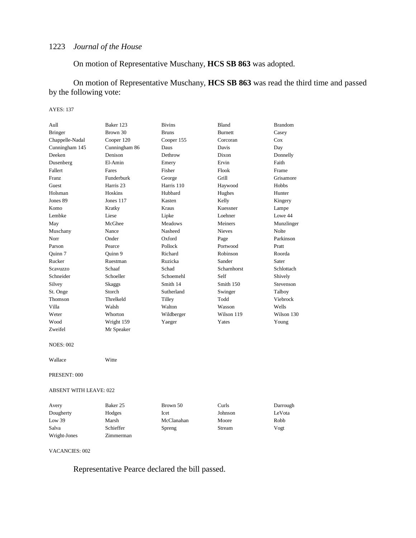On motion of Representative Muschany, **HCS SB 863** was adopted.

On motion of Representative Muschany, **HCS SB 863** was read the third time and passed by the following vote:

#### AYES: 137

| Baker 123            | <b>Bivins</b>  | Bland              | <b>Brandom</b> |
|----------------------|----------------|--------------------|----------------|
| Brown 30             | <b>Bruns</b>   | <b>Burnett</b>     | Casey          |
| Cooper 120           | Cooper 155     | Corcoran           | Cox            |
| Cunningham 86        | Daus           | Davis              | Day            |
| Denison              | Dethrow        | Dixon              | Donnelly       |
| El-Amin              | Emery          | Ervin              | Faith          |
| Fares                | Fisher         | Flook              | Frame          |
| Funderburk           | George         | Grill              | Grisamore      |
| Harris <sub>23</sub> | Harris 110     | Haywood            | Hobbs          |
| Hoskins              | Hubbard        | Hughes             | Hunter         |
| Jones $117$          | Kasten         | Kelly              | Kingery        |
| Kratky               | Kraus          | Kuessner           | Lampe          |
| Liese                | Lipke          | Loehner            | Lowe 44        |
| McGhee               | <b>Meadows</b> | Meiners            | Munzlinger     |
| Nance                | Nasheed        | <b>Nieves</b>      | <b>Nolte</b>   |
| Onder                | Oxford         | Page               | Parkinson      |
| Pearce               | Pollock        | Portwood           | Pratt          |
| Ouinn 9              | Richard        | Robinson           | Roorda         |
| Ruestman             | Ruzicka        | Sander             | Sater          |
| Schaaf               | Schad          | <b>Scharnhorst</b> | Schlottach     |
| Schoeller            | Schoemehl      | Self               | Shively        |
| Skaggs               | Smith 14       | Smith 150          | Stevenson      |
| Storch               | Sutherland     | Swinger            | Talboy         |
| Threlkeld            | Tilley         | Todd               | Viebrock       |
| Walsh                | Walton         | Wasson             | Wells          |
| Whorton              | Wildberger     | Wilson 119         | Wilson 130     |
| Wright 159           | Yaeger         | Yates              | Young          |
| Mr Speaker           |                |                    |                |
|                      |                |                    |                |

NOES: 002

Wallace Witte

PRESENT: 000

#### ABSENT WITH LEAVE: 022

| Avery        | Baker 25  | Brown 50   | Curls   | Darrough |
|--------------|-----------|------------|---------|----------|
| Dougherty    | Hodges    | Icet       | Johnson | LeVota   |
| Low 39       | Marsh     | McClanahan | Moore   | Robb     |
| Salva        | Schieffer | Spreng     | Stream  | Vogt     |
| Wright-Jones | Zimmerman |            |         |          |

#### VACANCIES: 002

Representative Pearce declared the bill passed.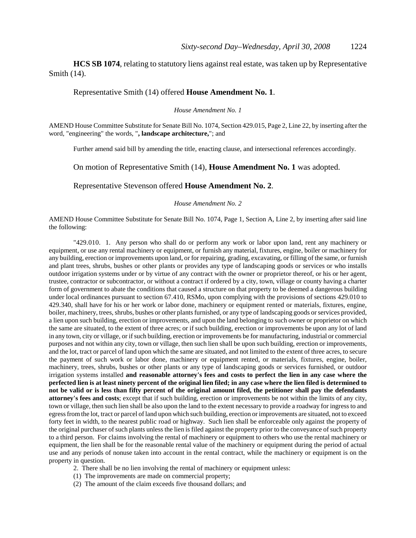**HCS SB 1074**, relating to statutory liens against real estate, was taken up by Representative Smith (14).

### Representative Smith (14) offered **House Amendment No. 1**.

*House Amendment No. 1*

AMEND House Committee Substitute for Senate Bill No. 1074, Section 429.015, Page 2, Line 22, by inserting after the word, "engineering" the words, "**, landscape architecture,**"; and

Further amend said bill by amending the title, enacting clause, and intersectional references accordingly.

On motion of Representative Smith (14), **House Amendment No. 1** was adopted.

Representative Stevenson offered **House Amendment No. 2**.

*House Amendment No. 2*

AMEND House Committee Substitute for Senate Bill No. 1074, Page 1, Section A, Line 2, by inserting after said line the following:

"429.010. 1. Any person who shall do or perform any work or labor upon land, rent any machinery or equipment, or use any rental machinery or equipment, or furnish any material, fixtures, engine, boiler or machinery for any building, erection or improvements upon land, or for repairing, grading, excavating, or filling of the same, or furnish and plant trees, shrubs, bushes or other plants or provides any type of landscaping goods or services or who installs outdoor irrigation systems under or by virtue of any contract with the owner or proprietor thereof, or his or her agent, trustee, contractor or subcontractor, or without a contract if ordered by a city, town, village or county having a charter form of government to abate the conditions that caused a structure on that property to be deemed a dangerous building under local ordinances pursuant to section 67.410, RSMo, upon complying with the provisions of sections 429.010 to 429.340, shall have for his or her work or labor done, machinery or equipment rented or materials, fixtures, engine, boiler, machinery, trees, shrubs, bushes or other plants furnished, or any type of landscaping goods or services provided, a lien upon such building, erection or improvements, and upon the land belonging to such owner or proprietor on which the same are situated, to the extent of three acres; or if such building, erection or improvements be upon any lot of land in any town, city or village, or if such building, erection or improvements be for manufacturing, industrial or commercial purposes and not within any city, town or village, then such lien shall be upon such building, erection or improvements, and the lot, tract or parcel of land upon which the same are situated, and not limited to the extent of three acres, to secure the payment of such work or labor done, machinery or equipment rented, or materials, fixtures, engine, boiler, machinery, trees, shrubs, bushes or other plants or any type of landscaping goods or services furnished, or outdoor irrigation systems installed **and reasonable attorney's fees and costs to perfect the lien in any case where the perfected lien is at least ninety percent of the original lien filed; in any case where the lien filed is determined to not be valid or is less than fifty percent of the original amount filed, the petitioner shall pay the defendants attorney's fees and costs**; except that if such building, erection or improvements be not within the limits of any city, town or village, then such lien shall be also upon the land to the extent necessary to provide a roadway for ingress to and egress from the lot, tract or parcel of land upon which such building, erection or improvements are situated, not to exceed forty feet in width, to the nearest public road or highway. Such lien shall be enforceable only against the property of the original purchaser of such plants unless the lien is filed against the property prior to the conveyance of such property to a third person. For claims involving the rental of machinery or equipment to others who use the rental machinery or equipment, the lien shall be for the reasonable rental value of the machinery or equipment during the period of actual use and any periods of nonuse taken into account in the rental contract, while the machinery or equipment is on the property in question.

- 2. There shall be no lien involving the rental of machinery or equipment unless:
- (1) The improvements are made on commercial property;
- (2) The amount of the claim exceeds five thousand dollars; and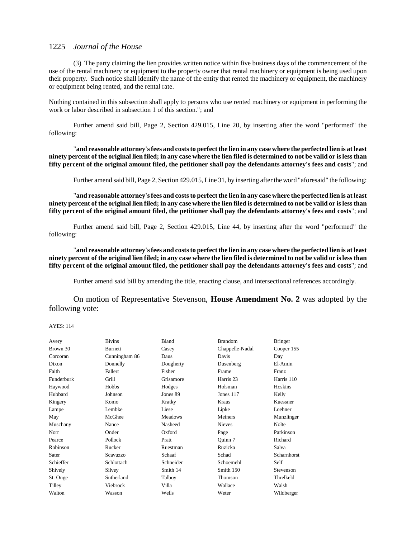(3) The party claiming the lien provides written notice within five business days of the commencement of the use of the rental machinery or equipment to the property owner that rental machinery or equipment is being used upon their property. Such notice shall identify the name of the entity that rented the machinery or equipment, the machinery or equipment being rented, and the rental rate.

Nothing contained in this subsection shall apply to persons who use rented machinery or equipment in performing the work or labor described in subsection 1 of this section."; and

Further amend said bill, Page 2, Section 429.015, Line 20, by inserting after the word "performed" the following:

"**and reasonable attorney's fees and costs to perfect the lien in any case where the perfected lien is at least ninety percent of the original lien filed; in any case where the lien filed is determined to not be valid or is less than fifty percent of the original amount filed, the petitioner shall pay the defendants attorney's fees and costs**"; and

Further amend said bill, Page 2, Section 429.015, Line 31, by inserting after the word "aforesaid" the following:

"**and reasonable attorney's fees and costs to perfect the lien in any case where the perfected lien is at least ninety percent of the original lien filed; in any case where the lien filed is determined to not be valid or is less than fifty percent of the original amount filed, the petitioner shall pay the defendants attorney's fees and costs**"; and

Further amend said bill, Page 2, Section 429.015, Line 44, by inserting after the word "performed" the following:

"**and reasonable attorney's fees and costs to perfect the lien in any case where the perfected lien is at least ninety percent of the original lien filed; in any case where the lien filed is determined to not be valid or is less than fifty percent of the original amount filed, the petitioner shall pay the defendants attorney's fees and costs**"; and

Further amend said bill by amending the title, enacting clause, and intersectional references accordingly.

On motion of Representative Stevenson, **House Amendment No. 2** was adopted by the following vote:

| Avery      | <b>Bivins</b>  | Bland          | <b>Brandom</b>  | <b>Bringer</b> |
|------------|----------------|----------------|-----------------|----------------|
| Brown 30   | <b>Burnett</b> | Casey          | Chappelle-Nadal | Cooper 155     |
| Corcoran   | Cunningham 86  | Daus           | Davis           | Day            |
| Dixon      | Donnelly       | Dougherty      | Dusenberg       | El-Amin        |
| Faith      | Fallert        | Fisher         | Frame           | Franz          |
| Funderburk | Grill          | Grisamore      | Harris 23       | Harris 110     |
| Haywood    | Hobbs          | Hodges         | Holsman         | Hoskins        |
| Hubbard    | Johnson        | Jones 89       | Jones 117       | Kelly          |
| Kingery    | Komo           | Kratky         | Kraus           | Kuessner       |
| Lampe      | Lembke         | Liese          | Lipke           | Loehner        |
| May        | McGhee         | <b>Meadows</b> | Meiners         | Munzlinger     |
| Muschany   | Nance          | Nasheed        | <b>Nieves</b>   | Nolte          |
| Norr       | Onder          | Oxford         | Page            | Parkinson      |
| Pearce     | Pollock        | Pratt          | Ouinn 7         | Richard        |
| Robinson   | Rucker         | Ruestman       | Ruzicka         | Salva          |
| Sater      | Scavuzzo       | Schaaf         | Schad           | Scharnhorst    |
| Schieffer  | Schlottach     | Schneider      | Schoemehl       | Self           |
| Shively    | Silvey         | Smith 14       | Smith 150       | Stevenson      |
| St. Onge   | Sutherland     | Talboy         | Thomson         | Threlkeld      |
| Tilley     | Viebrock       | Villa          | Wallace         | Walsh          |
| Walton     | Wasson         | Wells          | Weter           | Wildberger     |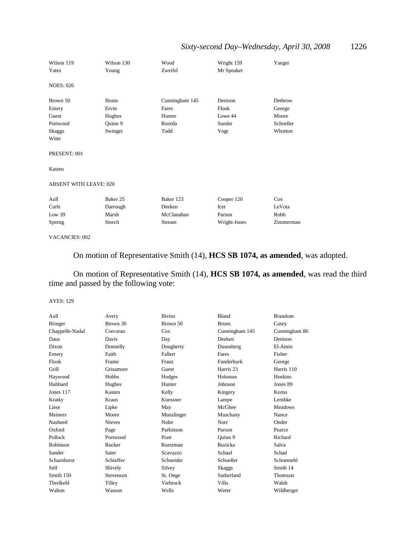## *Sixty-second Day–Wednesday, April 30, 2008* 1226

| Wilson 119<br>Yates           | Wilson 130<br>Young | Wood<br>Zweifel | Wright 159<br>Mr Speaker | Yaeger    |
|-------------------------------|---------------------|-----------------|--------------------------|-----------|
| <b>NOES: 026</b>              |                     |                 |                          |           |
| Brown 50                      | <b>Bruns</b>        | Cunningham 145  | Denison                  | Dethrow   |
| Emery                         | Ervin               | Fares           | Flook                    | George    |
| Guest                         | Hughes              | Hunter          | Lowe 44                  | Moore     |
| Portwood                      | Quinn 9             | Roorda          | Sander                   | Schoeller |
| <b>Skaggs</b>                 | Swinger             | Todd            | Vogt                     | Whorton   |
| Witte                         |                     |                 |                          |           |
| PRESENT: 001                  |                     |                 |                          |           |
| Kasten                        |                     |                 |                          |           |
| <b>ABSENT WITH LEAVE: 020</b> |                     |                 |                          |           |
| Aull                          | Baker 25            | Baker 123       | Cooper 120               | Cox       |
| Curls                         | Darrough            | Deeken          | Icet                     | LeVota    |
| Low $39$                      | Marsh               | McClanahan      | Parson                   | Robb      |
| Spreng                        | Storch              | Stream          | Wright-Jones             | Zimmerman |
|                               |                     |                 |                          |           |

VACANCIES: 002

On motion of Representative Smith (14), **HCS SB 1074, as amended**, was adopted.

On motion of Representative Smith (14), **HCS SB 1074, as amended**, was read the third time and passed by the following vote:

| Aull            | Avery         | <b>Bivins</b> | Bland          | <b>Brandom</b> |
|-----------------|---------------|---------------|----------------|----------------|
| <b>Bringer</b>  | Brown 30      | Brown 50      | <b>Bruns</b>   | Casey          |
| Chappelle-Nadal | Corcoran      | Cox           | Cunningham 145 | Cunningham 86  |
| Daus            | Davis         | Day           | Deeken         | Denison        |
| Dixon           | Donnelly      | Dougherty     | Dusenberg      | El-Amin        |
| Emery           | Faith         | Fallert       | Fares          | Fisher         |
| Flook           | Frame         | Franz         | Funderburk     | George         |
| Grill           | Grisamore     | Guest         | Harris 23      | Harris 110     |
| Haywood         | Hobbs         | Hodges        | Holsman        | Hoskins        |
| Hubbard         | Hughes        | Hunter        | Johnson        | Jones 89       |
| Jones 117       | Kasten        | Kelly         | Kingery        | Komo           |
| Kratky          | Kraus         | Kuessner      | Lampe          | Lembke         |
| Liese           | Lipke         | May           | McGhee         | <b>Meadows</b> |
| Meiners         | Moore         | Munzlinger    | Muschany       | Nance          |
| Nasheed         | <b>Nieves</b> | Nolte         | Norr           | Onder          |
| Oxford          | Page          | Parkinson     | Parson         | Pearce         |
| Pollock         | Portwood      | Pratt         | Quinn 9        | Richard        |
| Robinson        | Rucker        | Ruestman      | Ruzicka        | Salva          |
| Sander          | Sater         | Scavuzzo      | Schaaf         | Schad          |
| Scharnhorst     | Schieffer     | Schneider     | Schoeller      | Schoemehl      |
| Self            | Shively       | Silvey        | Skaggs         | Smith 14       |
| Smith 150       | Stevenson     | St. Onge      | Sutherland     | Thomson        |
| Threlkeld       | Tilley        | Viebrock      | Villa          | Walsh          |
| Walton          | Wasson        | Wells         | Weter          | Wildberger     |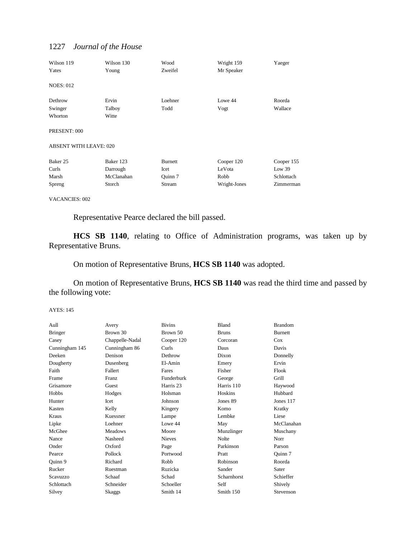| Wilson 119<br>Yates           | Wilson 130<br>Young | Wood<br>Zweifel | Wright 159<br>Mr Speaker | Yaeger     |
|-------------------------------|---------------------|-----------------|--------------------------|------------|
| <b>NOES: 012</b>              |                     |                 |                          |            |
| Dethrow                       | Ervin               | Loehner         | Lowe 44                  | Roorda     |
| Swinger                       | Talboy              | Todd            | Vogt                     | Wallace    |
| Whorton                       | Witte               |                 |                          |            |
| PRESENT: 000                  |                     |                 |                          |            |
| <b>ABSENT WITH LEAVE: 020</b> |                     |                 |                          |            |
| Baker 25                      | Baker 123           | <b>Burnett</b>  | Cooper 120               | Cooper 155 |
| Curls                         | Darrough            | Icet            | LeVota                   | Low 39     |
| Marsh                         | McClanahan          | Quinn 7         | Robb                     | Schlottach |
| Spreng                        | Storch              | Stream          | Wright-Jones             | Zimmerman  |

VACANCIES: 002

Representative Pearce declared the bill passed.

**HCS SB 1140**, relating to Office of Administration programs, was taken up by Representative Bruns.

On motion of Representative Bruns, **HCS SB 1140** was adopted.

On motion of Representative Bruns, **HCS SB 1140** was read the third time and passed by the following vote:

| Aull           | Avery           | <b>Bivins</b> | <b>Bland</b> | <b>Brandom</b> |
|----------------|-----------------|---------------|--------------|----------------|
| <b>Bringer</b> | Brown 30        | Brown 50      | <b>Bruns</b> | <b>Burnett</b> |
| Casey          | Chappelle-Nadal | Cooper 120    | Corcoran     | Cox            |
| Cunningham 145 | Cunningham 86   | Curls         | Daus         | Davis          |
| Deeken         | Denison         | Dethrow       | Dixon        | Donnelly       |
| Dougherty      | Dusenberg       | El-Amin       | Emery        | Ervin          |
| Faith          | Fallert         | Fares         | Fisher       | Flook          |
| Frame          | <b>Franz</b>    | Funderburk    | George       | Grill          |
| Grisamore      | Guest           | Harris 23     | Harris 110   | Haywood        |
| Hobbs          | Hodges          | Holsman       | Hoskins      | Hubbard        |
| Hunter         | Icet            | Johnson       | Jones 89     | Jones 117      |
| Kasten         | Kelly           | Kingery       | Komo         | Kratky         |
| Kraus          | Kuessner        | Lampe         | Lembke       | Liese          |
| Lipke          | Loehner         | Lowe 44       | May          | McClanahan     |
| McGhee         | <b>Meadows</b>  | Moore         | Munzlinger   | Muschany       |
| Nance          | Nasheed         | <b>Nieves</b> | <b>Nolte</b> | Norr           |
| Onder          | Oxford          | Page          | Parkinson    | Parson         |
| Pearce         | Pollock         | Portwood      | Pratt        | Quinn 7        |
| Quinn 9        | Richard         | Robb          | Robinson     | Roorda         |
| Rucker         | Ruestman        | Ruzicka       | Sander       | Sater          |
| Scavuzzo       | Schaaf          | Schad         | Scharnhorst  | Schieffer      |
| Schlottach     | Schneider       | Schoeller     | Self         | Shively        |
| Silvey         | Skaggs          | Smith 14      | Smith 150    | Stevenson      |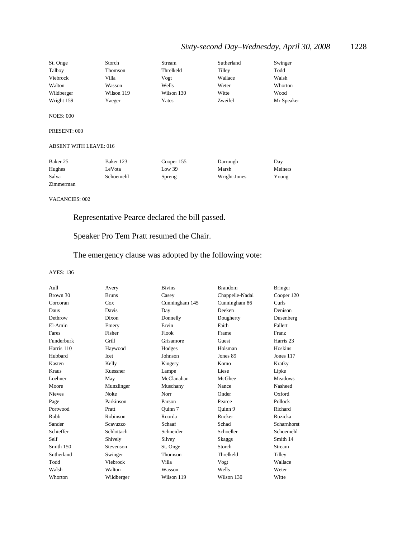## *Sixty-second Day–Wednesday, April 30, 2008* 1228

| St. Onge   | Storch     | Stream     | Sutherland | Swinger    |
|------------|------------|------------|------------|------------|
| Talboy     | Thomson    | Threlkeld  | Tilley     | Todd       |
| Viebrock   | Villa      | Vogt       | Wallace    | Walsh      |
| Walton     | Wasson     | Wells      | Weter      | Whorton    |
| Wildberger | Wilson 119 | Wilson 130 | Witte      | Wood       |
| Wright 159 | Yaeger     | Yates      | Zweifel    | Mr Speaker |

NOES: 000

PRESENT: 000

#### ABSENT WITH LEAVE: 016

| Baker 25  | Baker 123 | Cooper 155 | Darrough     | Dav     |
|-----------|-----------|------------|--------------|---------|
| Hughes    | LeVota    | Low 39     | Marsh        | Meiners |
| Salva     | Schoemehl | Spreng     | Wright-Jones | Young   |
| Zimmerman |           |            |              |         |

VACANCIES: 002

Representative Pearce declared the bill passed.

Speaker Pro Tem Pratt resumed the Chair.

The emergency clause was adopted by the following vote:

| Aull          | Avery        | <b>Bivins</b>  | <b>Brandom</b>  | <b>Bringer</b> |
|---------------|--------------|----------------|-----------------|----------------|
| Brown 30      | <b>Bruns</b> | Casey          | Chappelle-Nadal | Cooper 120     |
| Corcoran      | Cox          | Cunningham 145 | Cunningham 86   | Curls          |
| Daus          | Davis        | Day            | Deeken          | Denison        |
| Dethrow       | Dixon        | Donnelly       | Dougherty       | Dusenberg      |
| El-Amin       | Emery        | Ervin          | Faith           | Fallert        |
| Fares         | Fisher       | Flook          | Frame           | <b>Franz</b>   |
| Funderburk    | Grill        | Grisamore      | Guest           | Harris 23      |
| Harris 110    | Haywood      | Hodges         | Holsman         | Hoskins        |
| Hubbard       | <b>I</b> cet | Johnson        | Jones 89        | Jones $117$    |
| Kasten        | Kelly        | Kingery        | Komo            | Kratky         |
| Kraus         | Kuessner     | Lampe          | Liese           | Lipke          |
| Loehner       | May          | McClanahan     | McGhee          | <b>Meadows</b> |
| Moore         | Munzlinger   | Muschany       | Nance           | Nasheed        |
| <b>Nieves</b> | <b>Nolte</b> | Norr           | Onder           | Oxford         |
| Page          | Parkinson    | Parson         | Pearce          | Pollock        |
| Portwood      | Pratt        | Ouinn 7        | Ouinn 9         | Richard        |
| Robb          | Robinson     | Roorda         | Rucker          | Ruzicka        |
| Sander        | Scavuzzo     | Schaaf         | Schad           | Scharnhorst    |
| Schieffer     | Schlottach   | Schneider      | Schoeller       | Schoemehl      |
| Self          | Shively      | Silvey         | Skaggs          | Smith 14       |
| Smith 150     | Stevenson    | St. Onge       | Storch          | Stream         |
| Sutherland    | Swinger      | Thomson        | Threlkeld       | Tilley         |
| Todd          | Viebrock     | Villa          | Vogt            | Wallace        |
| Walsh         | Walton       | Wasson         | Wells           | Weter          |
| Whorton       | Wildberger   | Wilson 119     | Wilson 130      | Witte          |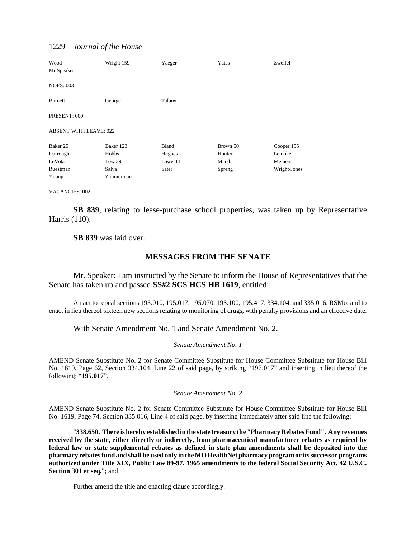| Wood<br>Mr Speaker            | Wright 159 | Yaeger  | Yates    | Zweifel      |
|-------------------------------|------------|---------|----------|--------------|
| <b>NOES: 003</b>              |            |         |          |              |
| <b>Burnett</b>                | George     | Talboy  |          |              |
| PRESENT: 000                  |            |         |          |              |
| <b>ABSENT WITH LEAVE: 022</b> |            |         |          |              |
| Baker 25                      | Baker 123  | Bland   | Brown 50 | Cooper 155   |
| Darrough                      | Hobbs      | Hughes  | Hunter   | Lembke       |
| LeVota                        | Low $39$   | Lowe 44 | Marsh    | Meiners      |
| Ruestman                      | Salva      | Sater   | Spreng   | Wright-Jones |
| Young                         | Zimmerman  |         |          |              |

VACANCIES: 002

**SB 839**, relating to lease-purchase school properties, was taken up by Representative Harris (110).

**SB 839** was laid over.

## **MESSAGES FROM THE SENATE**

Mr. Speaker: I am instructed by the Senate to inform the House of Representatives that the Senate has taken up and passed **SS#2 SCS HCS HB 1619**, entitled:

An act to repeal sections 195.010, 195.017, 195.070, 195.100, 195.417, 334.104, and 335.016, RSMo, and to enact in lieu thereof sixteen new sections relating to monitoring of drugs, with penalty provisions and an effective date.

With Senate Amendment No. 1 and Senate Amendment No. 2.

#### *Senate Amendment No. 1*

AMEND Senate Substitute No. 2 for Senate Committee Substitute for House Committee Substitute for House Bill No. 1619, Page 62, Section 334.104, Line 22 of said page, by striking "197.017" and inserting in lieu thereof the following: "**195.017**".

#### *Senate Amendment No. 2*

AMEND Senate Substitute No. 2 for Senate Committee Substitute for House Committee Substitute for House Bill No. 1619, Page 74, Section 335.016, Line 4 of said page, by inserting immediately after said line the following:

"**338.650. There is hereby established in the state treasury the "Pharmacy Rebates Fund". Any revenues received by the state, either directly or indirectly, from pharmaceutical manufacturer rebates as required by federal law or state supplemental rebates as defined in state plan amendments shall be deposited into the pharmacy rebates fund and shall be used only in the MO HealthNet pharmacy program or its successor programs authorized under Title XIX, Public Law 89-97, 1965 amendments to the federal Social Security Act, 42 U.S.C. Section 301 et seq.**"; and

Further amend the title and enacting clause accordingly.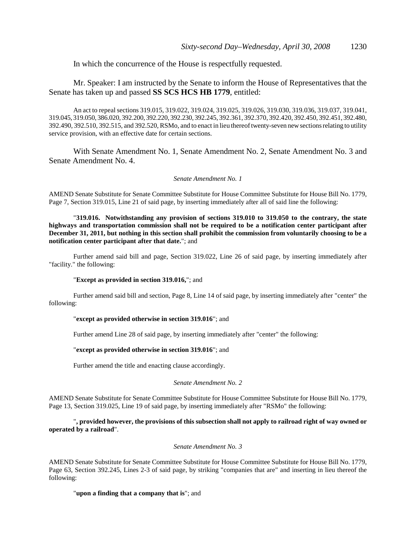In which the concurrence of the House is respectfully requested.

## Mr. Speaker: I am instructed by the Senate to inform the House of Representatives that the Senate has taken up and passed **SS SCS HCS HB 1779**, entitled:

An act to repeal sections 319.015, 319.022, 319.024, 319.025, 319.026, 319.030, 319.036, 319.037, 319.041, 319.045, 319.050, 386.020, 392.200, 392.220, 392.230, 392.245, 392.361, 392.370, 392.420, 392.450, 392.451, 392.480, 392.490, 392.510, 392.515, and 392.520, RSMo, and to enact in lieu thereof twenty-seven new sections relating to utility service provision, with an effective date for certain sections.

With Senate Amendment No. 1, Senate Amendment No. 2, Senate Amendment No. 3 and Senate Amendment No. 4.

#### *Senate Amendment No. 1*

AMEND Senate Substitute for Senate Committee Substitute for House Committee Substitute for House Bill No. 1779, Page 7, Section 319.015, Line 21 of said page, by inserting immediately after all of said line the following:

"**319.016. Notwithstanding any provision of sections 319.010 to 319.050 to the contrary, the state highways and transportation commission shall not be required to be a notification center participant after December 31, 2011, but nothing in this section shall prohibit the commission from voluntarily choosing to be a notification center participant after that date.**"; and

Further amend said bill and page, Section 319.022, Line 26 of said page, by inserting immediately after "facility." the following:

#### "**Except as provided in section 319.016,**"; and

Further amend said bill and section, Page 8, Line 14 of said page, by inserting immediately after "center" the following:

#### "**except as provided otherwise in section 319.016**"; and

Further amend Line 28 of said page, by inserting immediately after "center" the following:

#### "**except as provided otherwise in section 319.016**"; and

Further amend the title and enacting clause accordingly.

#### *Senate Amendment No. 2*

AMEND Senate Substitute for Senate Committee Substitute for House Committee Substitute for House Bill No. 1779, Page 13, Section 319.025, Line 19 of said page, by inserting immediately after "RSMo" the following:

"**, provided however, the provisions of this subsection shall not apply to railroad right of way owned or operated by a railroad**".

#### *Senate Amendment No. 3*

AMEND Senate Substitute for Senate Committee Substitute for House Committee Substitute for House Bill No. 1779, Page 63, Section 392.245, Lines 2-3 of said page, by striking "companies that are" and inserting in lieu thereof the following:

#### "**upon a finding that a company that is**"; and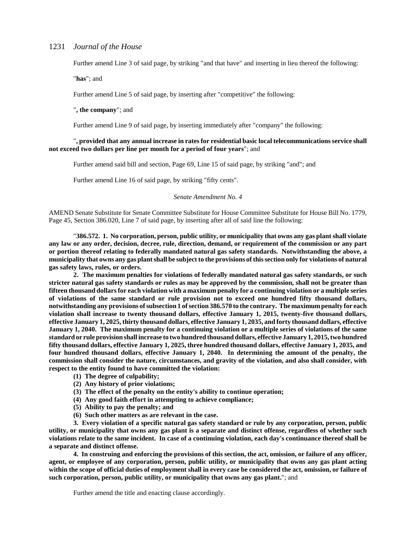Further amend Line 3 of said page, by striking "and that have" and inserting in lieu thereof the following:

"**has**"; and

Further amend Line 5 of said page, by inserting after "competitive" the following:

"**, the company**"; and

Further amend Line 9 of said page, by inserting immediately after "company" the following:

#### "**, provided that any annual increase in rates for residential basic local telecommunications service shall not exceed two dollars per line per month for a period of four years**"; and

Further amend said bill and section, Page 69, Line 15 of said page, by striking "and"; and

Further amend Line 16 of said page, by striking "fifty cents".

#### *Senate Amendment No. 4*

AMEND Senate Substitute for Senate Committee Substitute for House Committee Substitute for House Bill No. 1779, Page 45, Section 386.020, Line 7 of said page, by inserting after all of said line the following:

"**386.572. 1. No corporation, person, public utility, or municipality that owns any gas plant shall violate any law or any order, decision, decree, rule, direction, demand, or requirement of the commission or any part or portion thereof relating to federally mandated natural gas safety standards. Notwithstanding the above, a municipality that owns any gas plant shall be subject to the provisions of this section only for violations of natural gas safety laws, rules, or orders.**

**2. The maximum penalties for violations of federally mandated natural gas safety standards, or such stricter natural gas safety standards or rules as may be approved by the commission, shall not be greater than fifteen thousand dollars for each violation with a maximum penalty for a continuing violation or a multiple series of violations of the same standard or rule provision not to exceed one hundred fifty thousand dollars, notwithstanding any provisions of subsection 1 of section 386.570 to the contrary. The maximum penalty for each violation shall increase to twenty thousand dollars, effective January 1, 2015, twenty-five thousand dollars, effective January 1, 2025, thirty thousand dollars, effective January 1, 2035, and forty thousand dollars, effective January 1, 2040. The maximum penalty for a continuing violation or a multiple series of violations of the same standard or rule provision shall increase to two hundred thousand dollars, effective January 1, 2015, two hundred fifty thousand dollars, effective January 1, 2025, three hundred thousand dollars, effective January 1, 2035, and four hundred thousand dollars, effective January 1, 2040. In determining the amount of the penalty, the commission shall consider the nature, circumstances, and gravity of the violation, and also shall consider, with respect to the entity found to have committed the violation:**

- **(1) The degree of culpability;**
- **(2) Any history of prior violations;**
- **(3) The effect of the penalty on the entity's ability to continue operation;**
- **(4) Any good faith effort in attempting to achieve compliance;**
- **(5) Ability to pay the penalty; and**
- **(6) Such other matters as are relevant in the case.**

**3. Every violation of a specific natural gas safety standard or rule by any corporation, person, public utility, or municipality that owns any gas plant is a separate and distinct offense, regardless of whether such violations relate to the same incident. In case of a continuing violation, each day's continuance thereof shall be a separate and distinct offense.**

**4. In construing and enforcing the provisions of this section, the act, omission, or failure of any officer, agent, or employee of any corporation, person, public utility, or municipality that owns any gas plant acting within the scope of official duties of employment shall in every case be considered the act, omission, or failure of such corporation, person, public utility, or municipality that owns any gas plant.**"; and

Further amend the title and enacting clause accordingly.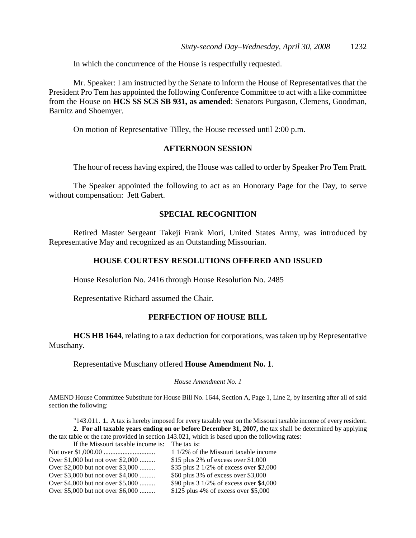In which the concurrence of the House is respectfully requested.

Mr. Speaker: I am instructed by the Senate to inform the House of Representatives that the President Pro Tem has appointed the following Conference Committee to act with a like committee from the House on **HCS SS SCS SB 931, as amended**: Senators Purgason, Clemens, Goodman, Barnitz and Shoemyer.

On motion of Representative Tilley, the House recessed until 2:00 p.m.

### **AFTERNOON SESSION**

The hour of recess having expired, the House was called to order by Speaker Pro Tem Pratt.

The Speaker appointed the following to act as an Honorary Page for the Day, to serve without compensation: Jett Gabert.

## **SPECIAL RECOGNITION**

Retired Master Sergeant Takeji Frank Mori, United States Army, was introduced by Representative May and recognized as an Outstanding Missourian.

## **HOUSE COURTESY RESOLUTIONS OFFERED AND ISSUED**

House Resolution No. 2416 through House Resolution No. 2485

Representative Richard assumed the Chair.

## **PERFECTION OF HOUSE BILL**

**HCS HB 1644**, relating to a tax deduction for corporations, was taken up by Representative Muschany.

## Representative Muschany offered **House Amendment No. 1**.

#### *House Amendment No. 1*

AMEND House Committee Substitute for House Bill No. 1644, Section A, Page 1, Line 2, by inserting after all of said section the following:

"143.011. **1.** A tax is hereby imposed for every taxable year on the Missouri taxable income of every resident. **2. For all taxable years ending on or before December 31, 2007,** the tax shall be determined by applying the tax table or the rate provided in section 143.021, which is based upon the following rates:

If the Missouri taxable income is: The tax is: Not over \$1,000.00 .............................. 1 1/2% of the Missouri taxable income Over \$1,000 but not over \$2,000 ......... \$15 plus 2% of excess over \$1,000 Over \$2,000 but not over \$3,000 ......... \$35 plus 2 1/2% of excess over \$2,000 Over \$3,000 but not over \$4,000 ......... \$60 plus 3% of excess over \$3,000 Over \$4,000 but not over \$5,000 ......... \$90 plus 3 1/2% of excess over \$4,000 Over \$5,000 but not over \$6,000 ......... \$125 plus 4% of excess over \$5,000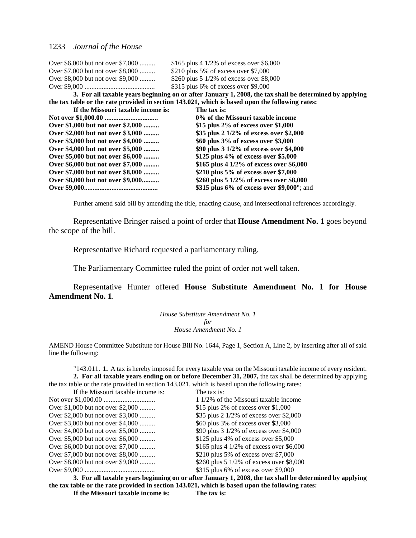| Over \$6,000 but not over \$7,000  | \$165 plus 4 1/2% of excess over \$6,000                                                                |
|------------------------------------|---------------------------------------------------------------------------------------------------------|
| Over \$7,000 but not over \$8,000  | \$210 plus 5% of excess over $$7,000$                                                                   |
| Over \$8,000 but not over \$9,000  | \$260 plus 5 $1/2\%$ of excess over \$8,000                                                             |
|                                    | $$315$ plus 6% of excess over \$9,000                                                                   |
|                                    | 3. For all taxable years beginning on or after January 1, 2008, the tax shall be determined by applying |
|                                    | the tax table or the rate provided in section 143.021, which is based upon the following rates:         |
| If the Missouri taxable income is: | The tax is:                                                                                             |
|                                    | 0% of the Missouri taxable income                                                                       |
| Over \$1,000 but not over \$2,000  | \$15 plus $2\%$ of excess over \$1,000                                                                  |
| Over \$2,000 but not over \$3,000  | \$35 plus 2 1/2% of excess over \$2,000                                                                 |
| Over \$3,000 but not over \$4,000  | \$60 plus 3% of excess over \$3,000                                                                     |
| Over \$4,000 but not over \$5,000  | \$90 plus 3 1/2% of excess over \$4,000                                                                 |
| Over \$5,000 but not over \$6,000  | \$125 plus 4% of excess over \$5,000                                                                    |
| Over \$6,000 but not over \$7,000  | \$165 plus 4 1/2% of excess over \$6,000                                                                |
| Over \$7,000 but not over \$8,000  | \$210 plus 5% of excess over \$7,000                                                                    |
| Over \$8,000 but not over \$9,000  | \$260 plus 5 1/2% of excess over \$8,000                                                                |
|                                    | \$315 plus 6% of excess over \$9,000"; and                                                              |

Further amend said bill by amending the title, enacting clause, and intersectional references accordingly.

Representative Bringer raised a point of order that **House Amendment No. 1** goes beyond the scope of the bill.

Representative Richard requested a parliamentary ruling.

The Parliamentary Committee ruled the point of order not well taken.

Representative Hunter offered **House Substitute Amendment No. 1 for House Amendment No. 1**.

> *House Substitute Amendment No. 1 for House Amendment No. 1*

AMEND House Committee Substitute for House Bill No. 1644, Page 1, Section A, Line 2, by inserting after all of said line the following:

"143.011. **1.** A tax is hereby imposed for every taxable year on the Missouri taxable income of every resident. **2. For all taxable years ending on or before December 31, 2007,** the tax shall be determined by applying the tax table or the rate provided in section 143.021, which is based upon the following rates:

| If the Missouri taxable income is: | The tax is:                                       |
|------------------------------------|---------------------------------------------------|
|                                    | 1 1/2% of the Missouri taxable income             |
| Over \$1,000 but not over \$2,000  | \$15 plus 2% of excess over $$1,000$              |
| Over \$2,000 but not over \$3,000  | \$35 plus 2 $1/2\%$ of excess over \$2,000        |
| Over \$3,000 but not over \$4,000  | \$60 plus 3% of excess over \$3,000               |
| Over \$4,000 but not over \$5,000  | \$90 plus $3\frac{1}{2\%}$ of excess over \$4,000 |
| Over \$5,000 but not over \$6,000  | \$125 plus 4% of excess over \$5,000              |
| Over \$6,000 but not over \$7,000  | \$165 plus 4 1/2% of excess over \$6,000          |
| Over \$7,000 but not over \$8,000  | \$210 plus 5% of excess over \$7,000              |
| Over \$8,000 but not over \$9,000  | \$260 plus 5 $1/2\%$ of excess over \$8,000       |
|                                    | $$315$ plus 6% of excess over \$9,000             |
| .                                  |                                                   |

**3. For all taxable years beginning on or after January 1, 2008, the tax shall be determined by applying the tax table or the rate provided in section 143.021, which is based upon the following rates: If the Missouri taxable income is: The tax is:**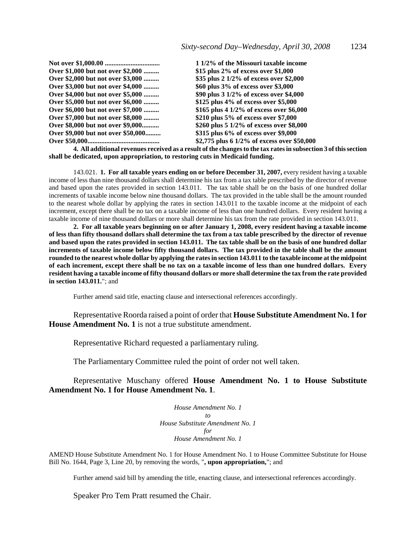|                                    | 1 1/2% of the Missouri taxable income       |
|------------------------------------|---------------------------------------------|
| Over \$1,000 but not over \$2,000  | \$15 plus $2\%$ of excess over \$1,000      |
| Over \$2,000 but not over \$3,000  | \$35 plus 2 1/2% of excess over \$2,000     |
| Over \$3,000 but not over \$4,000  | \$60 plus 3% of excess over \$3,000         |
| Over \$4,000 but not over \$5,000  | \$90 plus 3 1/2% of excess over \$4,000     |
| Over \$5,000 but not over \$6,000  | $$125$ plus 4% of excess over \$5,000       |
| Over \$6,000 but not over \$7,000  | \$165 plus 4 $1/2\%$ of excess over \$6,000 |
| Over \$7,000 but not over \$8,000  | \$210 plus 5% of excess over \$7,000        |
| Over \$8,000 but not over \$9,000  | \$260 plus 5 $1/2\%$ of excess over \$8,000 |
| Over \$9,000 but not over \$50,000 | \$315 plus 6% of excess over \$9,000        |
|                                    | \$2,775 plus 6 1/2% of excess over \$50,000 |

**4. All additional revenues received as a result of the changes to the tax rates in subsection 3 of this section shall be dedicated, upon appropriation, to restoring cuts in Medicaid funding.**

143.021. **1. For all taxable years ending on or before December 31, 2007,** every resident having a taxable income of less than nine thousand dollars shall determine his tax from a tax table prescribed by the director of revenue and based upon the rates provided in section 143.011. The tax table shall be on the basis of one hundred dollar increments of taxable income below nine thousand dollars. The tax provided in the table shall be the amount rounded to the nearest whole dollar by applying the rates in section 143.011 to the taxable income at the midpoint of each increment, except there shall be no tax on a taxable income of less than one hundred dollars. Every resident having a taxable income of nine thousand dollars or more shall determine his tax from the rate provided in section 143.011.

**2. For all taxable years beginning on or after January 1, 2008, every resident having a taxable income of less than fifty thousand dollars shall determine the tax from a tax table prescribed by the director of revenue and based upon the rates provided in section 143.011. The tax table shall be on the basis of one hundred dollar increments of taxable income below fifty thousand dollars. The tax provided in the table shall be the amount rounded to the nearest whole dollar by applying the rates in section 143.011 to the taxable income at the midpoint of each increment, except there shall be no tax on a taxable income of less than one hundred dollars. Every resident having a taxable income of fifty thousand dollars or more shall determine the tax from the rate provided in section 143.011.**"; and

Further amend said title, enacting clause and intersectional references accordingly.

Representative Roorda raised a point of order that **House Substitute Amendment No. 1 for House Amendment No. 1** is not a true substitute amendment.

Representative Richard requested a parliamentary ruling.

The Parliamentary Committee ruled the point of order not well taken.

Representative Muschany offered **House Amendment No. 1 to House Substitute Amendment No. 1 for House Amendment No. 1**.

> *House Amendment No. 1 to House Substitute Amendment No. 1 for House Amendment No. 1*

AMEND House Substitute Amendment No. 1 for House Amendment No. 1 to House Committee Substitute for House Bill No. 1644, Page 3, Line 20, by removing the words, "**, upon appropriation,**"; and

Further amend said bill by amending the title, enacting clause, and intersectional references accordingly.

Speaker Pro Tem Pratt resumed the Chair.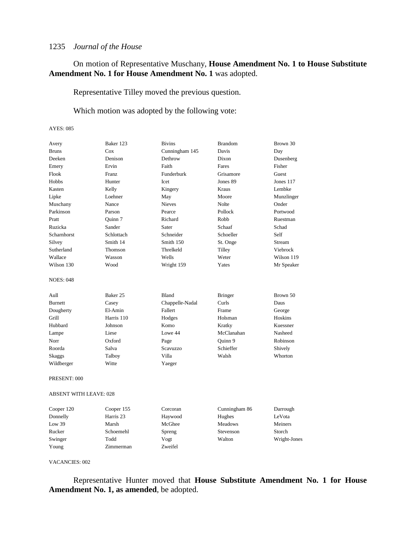## On motion of Representative Muschany, **House Amendment No. 1 to House Substitute Amendment No. 1 for House Amendment No. 1** was adopted.

Representative Tilley moved the previous question.

Which motion was adopted by the following vote:

#### AYES: 085

| Avery            | Baker 123    | <b>Bivins</b>   | <b>Brandom</b> | Brown 30   |
|------------------|--------------|-----------------|----------------|------------|
| <b>Bruns</b>     | Cox          | Cunningham 145  | Davis          | Day        |
| Deeken           | Denison      | Dethrow         | Dixon          | Dusenberg  |
| Emery            | Ervin        | Faith           | Fares          | Fisher     |
| Flook            | <b>Franz</b> | Funderburk      | Grisamore      | Guest      |
| Hobbs            | Hunter       | Icet            | Jones 89       | Jones 117  |
| Kasten           | Kelly        | Kingery         | Kraus          | Lembke     |
| Lipke            | Loehner      | May             | Moore          | Munzlinger |
| Muschany         | Nance        | <b>Nieves</b>   | Nolte          | Onder      |
| Parkinson        | Parson       | Pearce          | Pollock        | Portwood   |
| Pratt            | Ouinn 7      | Richard         | Robb           | Ruestman   |
| Ruzicka          | Sander       | Sater           | Schaaf         | Schad      |
| Scharnhorst      | Schlottach   | Schneider       | Schoeller      | Self       |
| Silvey           | Smith 14     | Smith 150       | St. Onge       | Stream     |
| Sutherland       | Thomson      | Threlkeld       | Tilley         | Viebrock   |
| Wallace          | Wasson       | Wells           | Weter          | Wilson 119 |
| Wilson 130       | Wood         | Wright 159      | Yates          | Mr Speaker |
| <b>NOES: 048</b> |              |                 |                |            |
| Aull             | Baker 25     | Bland           | <b>Bringer</b> | Brown 50   |
| <b>Burnett</b>   | Casey        | Chappelle-Nadal | Curls          | Daus       |
| Dougherty        | El-Amin      | Fallert         | Frame          | George     |
| Grill            | Harris 110   | Hodges          | Holsman        | Hoskins    |
| Hubbard          | Johnson      | Komo            | Kratky         | Kuessner   |
| Lampe            | Liese        | Lowe 44         | McClanahan     | Nasheed    |
| Norr             | Oxford       | Page            | Quinn 9        | Robinson   |
| Roorda           | Salva        | Scavuzzo        | Schieffer      | Shively    |
| <b>Skaggs</b>    | Talboy       | Villa           | Walsh          | Whorton    |
| Wildberger       | Witte        | Yaeger          |                |            |
| PRESENT: 000     |              |                 |                |            |

#### ABSENT WITH LEAVE: 028

| Cooper 120 | Cooper 155 | Corcoran | Cunningham 86  | Darrough     |
|------------|------------|----------|----------------|--------------|
| Donnelly   | Harris 23  | Haywood  | Hughes         | LeVota       |
| Low 39     | Marsh      | McGhee   | <b>Meadows</b> | Meiners      |
| Rucker     | Schoemehl  | Spreng   | Stevenson      | Storch       |
| Swinger    | Todd       | Vogt     | Walton         | Wright-Jones |
| Young      | Zimmerman  | Zweifel  |                |              |

#### VACANCIES: 002

Representative Hunter moved that **House Substitute Amendment No. 1 for House Amendment No. 1, as amended**, be adopted.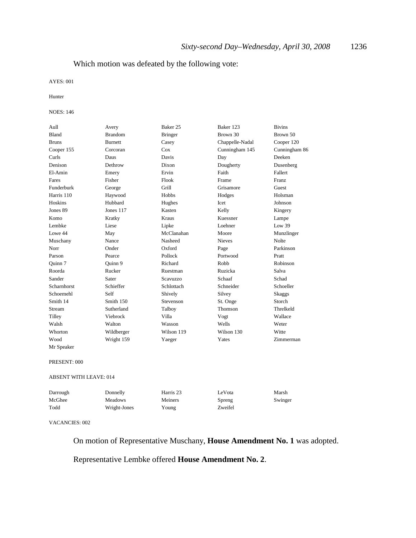## Which motion was defeated by the following vote:

#### AYES: 001

Hunter

#### NOES: 146

| Aull                   | Avery          | Baker 25             | Baker 123       | <b>Bivins</b> |
|------------------------|----------------|----------------------|-----------------|---------------|
| Bland                  | <b>Brandom</b> | <b>Bringer</b>       | Brown 30        | Brown 50      |
| <b>Bruns</b>           | <b>Burnett</b> | Casey                | Chappelle-Nadal | Cooper 120    |
| Cooper 155             | Corcoran       | Cox                  | Cunningham 145  | Cunningham 86 |
| Curls                  | Daus           | Davis                | Day             | Deeken        |
| Denison                | Dethrow        | Dixon                | Dougherty       | Dusenberg     |
| El-Amin                | Emery          | Ervin                | Faith           | Fallert       |
| Fares                  | Fisher         | Flook                | Frame           | Franz         |
| Funderburk             | George         | Grill                | Grisamore       | Guest         |
| Harris 110             | Haywood        | Hobbs                | Hodges          | Holsman       |
| Hoskins                | Hubbard        | Hughes               | Icet            | Johnson       |
| Jones 89               | Jones 117      | Kasten               | Kelly           | Kingery       |
| Komo                   | Kratky         | <b>Kraus</b>         | Kuessner        | Lampe         |
| Lembke                 | Liese          | Lipke                | Loehner         | Low 39        |
| Lowe 44                | May            | McClanahan           | Moore           | Munzlinger    |
| Muschany               | Nance          | Nasheed              | <b>Nieves</b>   | Nolte         |
| Norr                   | Onder          | Oxford               | Page            | Parkinson     |
| Parson                 | Pearce         | Pollock              | Portwood        | Pratt         |
| Quinn 7                | Ouinn 9        | Richard              | Robb            | Robinson      |
| Roorda                 | Rucker         | Ruestman             | Ruzicka         | Salva         |
| Sander                 | Sater          | Scavuzzo             | Schaaf          | Schad         |
| Scharnhorst            | Schieffer      | Schlottach           | Schneider       | Schoeller     |
| Schoemehl              | Self           | Shively              | Silvey          | <b>Skaggs</b> |
| Smith 14               | Smith 150      | Stevenson            | St. Onge        | Storch        |
| Stream                 | Sutherland     | Talboy               | Thomson         | Threlkeld     |
| Tilley                 | Viebrock       | Villa                | Vogt            | Wallace       |
| Walsh                  | Walton         | Wasson               | Wells           | Weter         |
| Whorton                | Wildberger     | Wilson 119           | Wilson 130      | Witte         |
| Wood                   | Wright 159     | Yaeger               | Yates           | Zimmerman     |
| Mr Speaker             |                |                      |                 |               |
| PRESENT: 000           |                |                      |                 |               |
| ABSENT WITH LEAVE: 014 |                |                      |                 |               |
| Darrough               | Donnelly       | Harris <sub>23</sub> | LeVota          | Marsh         |
| McGhee                 | <b>Meadows</b> | Meiners              | Spreng          | Swinger       |
| Todd                   | Wright-Jones   | Young                | Zweifel         |               |
| VACAMCIES, 002         |                |                      |                 |               |

#### VACANCIES: 002

On motion of Representative Muschany, **House Amendment No. 1** was adopted.

## Representative Lembke offered **House Amendment No. 2**.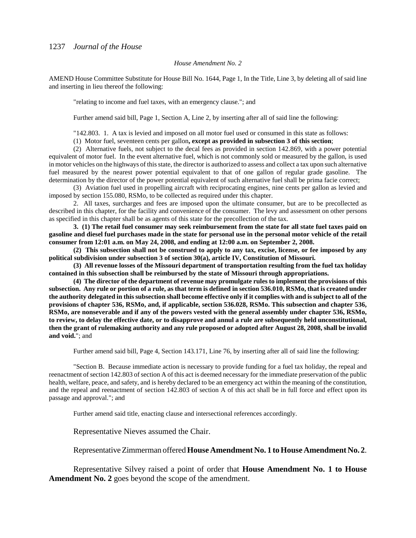#### *House Amendment No. 2*

AMEND House Committee Substitute for House Bill No. 1644, Page 1, In the Title, Line 3, by deleting all of said line and inserting in lieu thereof the following:

"relating to income and fuel taxes, with an emergency clause."; and

Further amend said bill, Page 1, Section A, Line 2, by inserting after all of said line the following:

"142.803. 1. A tax is levied and imposed on all motor fuel used or consumed in this state as follows:

(1) Motor fuel, seventeen cents per gallon**, except as provided in subsection 3 of this section**;

(2) Alternative fuels, not subject to the decal fees as provided in section 142.869, with a power potential equivalent of motor fuel. In the event alternative fuel, which is not commonly sold or measured by the gallon, is used in motor vehicles on the highways of this state, the director is authorized to assess and collect a tax upon such alternative fuel measured by the nearest power potential equivalent to that of one gallon of regular grade gasoline. The determination by the director of the power potential equivalent of such alternative fuel shall be prima facie correct;

(3) Aviation fuel used in propelling aircraft with reciprocating engines, nine cents per gallon as levied and imposed by section 155.080, RSMo, to be collected as required under this chapter.

2. All taxes, surcharges and fees are imposed upon the ultimate consumer, but are to be precollected as described in this chapter, for the facility and convenience of the consumer. The levy and assessment on other persons as specified in this chapter shall be as agents of this state for the precollection of the tax.

**3. (1) The retail fuel consumer may seek reimbursement from the state for all state fuel taxes paid on gasoline and diesel fuel purchases made in the state for personal use in the personal motor vehicle of the retail consumer from 12:01 a.m. on May 24, 2008, and ending at 12:00 a.m. on September 2, 2008.**

**(2) This subsection shall not be construed to apply to any tax, excise, license, or fee imposed by any political subdivision under subsection 3 of section 30(a), article IV, Constitution of Missouri.**

**(3) All revenue losses of the Missouri department of transportation resulting from the fuel tax holiday contained in this subsection shall be reimbursed by the state of Missouri through appropriations.**

**(4) The director of the department of revenue may promulgate rules to implement the provisions of this subsection. Any rule or portion of a rule, as that term is defined in section 536.010, RSMo, that is created under the authority delegated in this subsection shall become effective only if it complies with and is subject to all of the provisions of chapter 536, RSMo, and, if applicable, section 536.028, RSMo. This subsection and chapter 536, RSMo, are nonseverable and if any of the powers vested with the general assembly under chapter 536, RSMo, to review, to delay the effective date, or to disapprove and annul a rule are subsequently held unconstitutional, then the grant of rulemaking authority and any rule proposed or adopted after August 28, 2008, shall be invalid and void.**"; and

Further amend said bill, Page 4, Section 143.171, Line 76, by inserting after all of said line the following:

"Section B. Because immediate action is necessary to provide funding for a fuel tax holiday, the repeal and reenactment of section 142.803 of section A of this act is deemed necessary for the immediate preservation of the public health, welfare, peace, and safety, and is hereby declared to be an emergency act within the meaning of the constitution, and the repeal and reenactment of section 142.803 of section A of this act shall be in full force and effect upon its passage and approval."; and

Further amend said title, enacting clause and intersectional references accordingly.

Representative Nieves assumed the Chair.

Representative Zimmerman offered **House Amendment No. 1 to House Amendment No. 2**.

Representative Silvey raised a point of order that **House Amendment No. 1 to House Amendment No. 2** goes beyond the scope of the amendment.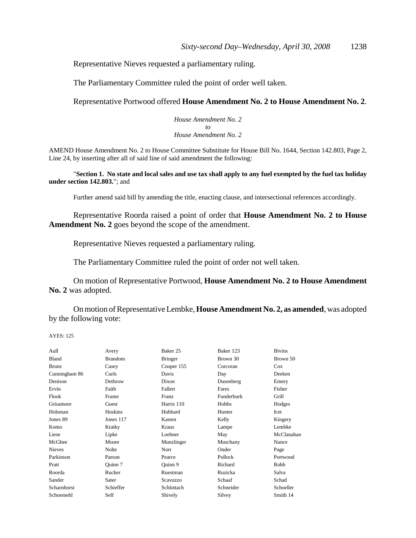Representative Nieves requested a parliamentary ruling.

The Parliamentary Committee ruled the point of order well taken.

### Representative Portwood offered **House Amendment No. 2 to House Amendment No. 2**.

*House Amendment No. 2 to House Amendment No. 2*

AMEND House Amendment No. 2 to House Committee Substitute for House Bill No. 1644, Section 142.803, Page 2, Line 24, by inserting after all of said line of said amendment the following:

"**Section 1. No state and local sales and use tax shall apply to any fuel exempted by the fuel tax holiday under section 142.803.**"; and

Further amend said bill by amending the title, enacting clause, and intersectional references accordingly.

Representative Roorda raised a point of order that **House Amendment No. 2 to House Amendment No. 2** goes beyond the scope of the amendment.

Representative Nieves requested a parliamentary ruling.

The Parliamentary Committee ruled the point of order not well taken.

On motion of Representative Portwood, **House Amendment No. 2 to House Amendment No. 2** was adopted.

On motion of Representative Lembke, **House Amendment No. 2, as amended**, was adopted by the following vote:

| Aull          | Avery          | Baker 25       | Baker 123  | <b>Bivins</b> |
|---------------|----------------|----------------|------------|---------------|
| <b>Bland</b>  | <b>Brandom</b> | <b>Bringer</b> | Brown 30   | Brown 50      |
| <b>Bruns</b>  | Casey          | Cooper 155     | Corcoran   | Cox           |
| Cunningham 86 | Curls          | Davis          | Day        | Deeken        |
| Denison       | Dethrow        | Dixon          | Dusenberg  | Emery         |
| Ervin         | Faith          | Fallert        | Fares      | Fisher        |
| Flook         | Frame          | <b>Franz</b>   | Funderburk | Grill         |
| Grisamore     | Guest          | Harris 110     | Hobbs      | Hodges        |
| Holsman       | Hoskins        | Hubbard        | Hunter     | <b>Icet</b>   |
| Jones 89      | Jones 117      | Kasten         | Kelly      | Kingery       |
| Komo          | Kratky         | Kraus          | Lampe      | Lembke        |
| Liese         | Lipke          | Loehner        | May        | McClanahan    |
| McGhee        | Moore          | Munzlinger     | Muschany   | Nance         |
| <b>Nieves</b> | Nolte          | Norr           | Onder      | Page          |
| Parkinson     | Parson         | Pearce         | Pollock    | Portwood      |
| Pratt         | Ouinn 7        | Ouinn 9        | Richard    | Robb          |
| Roorda        | Rucker         | Ruestman       | Ruzicka    | Salva         |
| Sander        | Sater          | Scavuzzo       | Schaaf     | Schad         |
| Scharnhorst   | Schieffer      | Schlottach     | Schneider  | Schoeller     |
| Schoemehl     | Self           | Shively        | Silvey     | Smith 14      |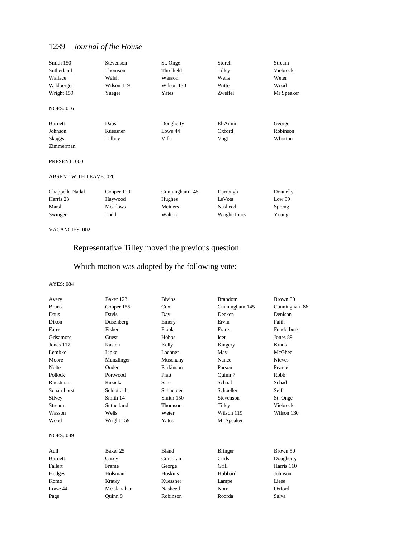| Smith 150                     | Stevenson      | St. Onge       | Storch       | Stream     |
|-------------------------------|----------------|----------------|--------------|------------|
| Sutherland                    | Thomson        | Threlkeld      | Tilley       | Viebrock   |
| Wallace                       | Walsh          | Wasson         | Wells        | Weter      |
| Wildberger                    | Wilson 119     | Wilson 130     | Witte        | Wood       |
| Wright 159                    | Yaeger         | Yates          | Zweifel      | Mr Speaker |
| <b>NOES: 016</b>              |                |                |              |            |
| <b>Burnett</b>                | Daus           | Dougherty      | El-Amin      | George     |
| Johnson                       | Kuessner       | Lowe 44        | Oxford       | Robinson   |
| <b>Skaggs</b>                 | Talboy         | Villa          | Vogt         | Whorton    |
| Zimmerman                     |                |                |              |            |
| PRESENT: 000                  |                |                |              |            |
| <b>ABSENT WITH LEAVE: 020</b> |                |                |              |            |
| Chappelle-Nadal               | Cooper 120     | Cunningham 145 | Darrough     | Donnelly   |
| Harris 23                     | Haywood        | Hughes         | LeVota       | Low 39     |
| Marsh                         | <b>Meadows</b> | Meiners        | Nasheed      | Spreng     |
| Swinger                       | Todd           | Walton         | Wright-Jones | Young      |

#### VACANCIES: 002

## Representative Tilley moved the previous question.

## Which motion was adopted by the following vote:

| Avery              | Baker 123  | <b>Bivins</b> | <b>Brandom</b> | Brown 30      |
|--------------------|------------|---------------|----------------|---------------|
| <b>Bruns</b>       | Cooper 155 | Cox           | Cunningham 145 | Cunningham 86 |
| Daus               | Davis      | Day           | Deeken         | Denison       |
| Dixon              | Dusenberg  | Emery         | Ervin          | Faith         |
| Fares              | Fisher     | Flook         | Franz          | Funderburk    |
| Grisamore          | Guest      | Hobbs         | Icet           | Jones 89      |
| Jones 117          | Kasten     | Kelly         | Kingery        | Kraus         |
| Lembke             | Lipke      | Loehner       | May            | McGhee        |
| Moore              | Munzlinger | Muschany      | Nance          | <b>Nieves</b> |
| Nolte              | Onder      | Parkinson     | Parson         | Pearce        |
| Pollock            | Portwood   | Pratt         | Ouinn 7        | Robb          |
| Ruestman           | Ruzicka    | Sater         | Schaaf         | Schad         |
| <b>Scharnhorst</b> | Schlottach | Schneider     | Schoeller      | Self          |
| Silvey             | Smith 14   | Smith 150     | Stevenson      | St. Onge      |
| <b>Stream</b>      | Sutherland | Thomson       | Tilley         | Viebrock      |
| Wasson             | Wells      | Weter         | Wilson 119     | Wilson 130    |
| Wood               | Wright 159 | Yates         | Mr Speaker     |               |
| <b>NOES: 049</b>   |            |               |                |               |
| Aull               | Baker 25   | Bland         | <b>Bringer</b> | Brown 50      |
| <b>Burnett</b>     | Casey      | Corcoran      | Curls          | Dougherty     |
| Fallert            | Frame      | George        | Grill          | Harris 110    |
| Hodges             | Holsman    | Hoskins       | Hubbard        | Johnson       |
| Komo               | Kratky     | Kuessner      | Lampe          | Liese         |
| Lowe 44            | McClanahan | Nasheed       | Norr           | Oxford        |
| Page               | Ouinn 9    | Robinson      | Roorda         | Salva         |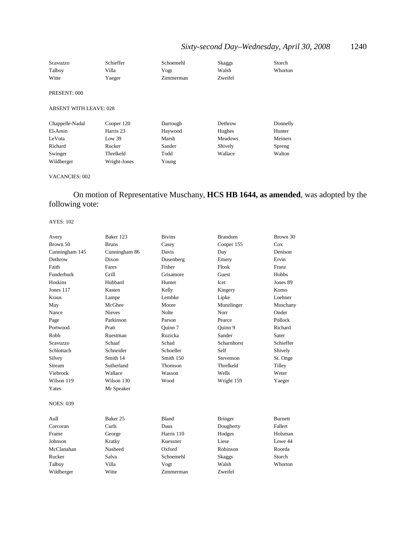## *Sixty-second Day–Wednesday, April 30, 2008* 1240

| Scavuzzo<br>Talboy            | Schieffer<br>Villa | Schoemehl<br>Vogt | <b>Skaggs</b><br>Walsh | Storch<br><b>Whorton</b> |
|-------------------------------|--------------------|-------------------|------------------------|--------------------------|
| Witte                         | Yaeger             | Zimmerman         | Zweifel                |                          |
|                               |                    |                   |                        |                          |
| PRESENT: 000                  |                    |                   |                        |                          |
| <b>ABSENT WITH LEAVE: 028</b> |                    |                   |                        |                          |
| Chappelle-Nadal               | Cooper 120         | Darrough          | Dethrow                | Donnelly                 |
| El-Amin                       | Harris 23          | Haywood           | Hughes                 | Hunter                   |
| LeVota                        | Low 39             | Marsh             | <b>Meadows</b>         | Meiners                  |
| Richard                       | Rucker             | Sander            | Shively                | Spreng                   |
| Swinger                       | Threlkeld          | Todd              | Wallace                | Walton                   |
| Wildberger                    | Wright-Jones       | Young             |                        |                          |

### VACANCIES: 002

## On motion of Representative Muschany, **HCS HB 1644, as amended**, was adopted by the following vote:

| Avery            | Baker 123     | <b>Bivins</b>  | <b>Brandom</b>  | Brown 30       |
|------------------|---------------|----------------|-----------------|----------------|
| Brown 50         | <b>Bruns</b>  | Casey          | Cooper 155      | Cox            |
| Cunningham 145   | Cunningham 86 | Davis          | Day             | Denison        |
| Dethrow          | Dixon         | Dusenberg      | Emery           | Ervin          |
| Faith            | Fares         | Fisher         | Flook           | Franz          |
| Funderburk       | Grill         | Grisamore      | Guest           | Hobbs          |
| Hoskins          | Hubbard       | Hunter         | Icet            | Jones 89       |
| Jones 117        | Kasten        | Kelly          | Kingery         | Komo           |
| Kraus            | Lampe         | Lembke         | Lipke           | Loehner        |
| May              | McGhee        | Moore          | Munzlinger      | Muschany       |
| Nance            | Nieves        | <b>Nolte</b>   | Norr            | Onder          |
| Page             | Parkinson     | Parson         | Pearce          | Pollock        |
| Portwood         | Pratt         | Ouinn 7        | Ouinn 9         | Richard        |
| Robb             | Ruestman      | Ruzicka        | Sander          | Sater          |
| Scavuzzo         | Schaaf        | Schad          | Scharnhorst     | Schieffer      |
| Schlottach       | Schneider     | Schoeller      | Self            | Shively        |
| Silvey           | Smith 14      | Smith 150      | Stevenson       | St. Onge       |
| Stream           | Sutherland    | <b>Thomson</b> | Threlkeld       | Tilley         |
| Viebrock         | Wallace       | Wasson         | Wells           | Weter          |
| Wilson 119       | Wilson 130    | Wood           | Wright 159      | Yaeger         |
| Yates            | Mr Speaker    |                |                 |                |
| <b>NOES: 039</b> |               |                |                 |                |
| Aull             | Baker 25      | <b>Bland</b>   | <b>Bringer</b>  | <b>Burnett</b> |
| Corcoran         | Curls         | Daus           | Dougherty       | Fallert        |
| Frame            | George        | Harris 110     | Hodges          | Holsman        |
| Johnson          | Kratky        | Kuessner       | Liese           | Lowe 44        |
| McClanahan       | Nasheed       | Oxford         | <b>Robinson</b> | Roorda         |
| Rucker           | Salva         | Schoemehl      | <b>Skaggs</b>   | Storch         |
| Talboy           | Villa         | Vogt           | Walsh           | Whorton        |
| Wildberger       | Witte         | Zimmerman      | Zweifel         |                |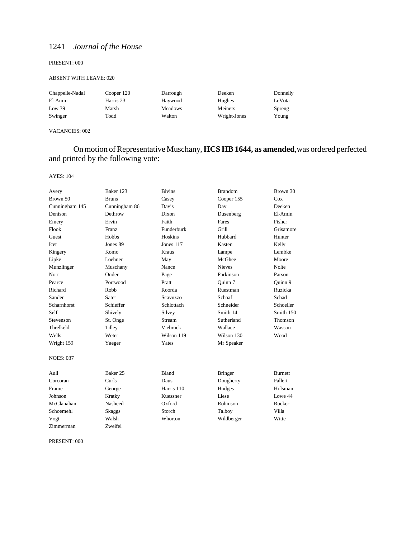#### PRESENT: 000

#### ABSENT WITH LEAVE: 020

| Chappelle-Nadal | Cooper 120 | Darrough       | Deeken       | Donnelly |
|-----------------|------------|----------------|--------------|----------|
| El-Amin         | Harris 23  | Haywood        | Hughes       | LeVota   |
| Low 39          | Marsh      | <b>Meadows</b> | Meiners      | Spreng   |
| Swinger         | Todd       | Walton         | Wright-Jones | Young    |

VACANCIES: 002

## On motion of Representative Muschany, **HCS HB 1644, as amended**,was ordered perfected and printed by the following vote:

AYES: 104

| Avery            | Baker 123           | <b>Bivins</b> | <b>Brandom</b> | Brown 30       |
|------------------|---------------------|---------------|----------------|----------------|
| Brown 50         | <b>Bruns</b>        | Casey         | Cooper 155     | Cox            |
| Cunningham 145   | Cunningham 86       | Davis         | Day            | Deeken         |
| Denison          | Dethrow             | Dixon         | Dusenberg      | El-Amin        |
| Emery            | Ervin               | Faith         | Fares          | Fisher         |
| Flook            | <b>Franz</b>        | Funderburk    | Grill          | Grisamore      |
| Guest            | Hobbs               | Hoskins       | Hubbard        | Hunter         |
| Icet             | Jones 89            | Jones 117     | Kasten         | Kelly          |
| Kingery          | Komo                | Kraus         | Lampe          | Lembke         |
| Lipke            | Loehner             | May           | McGhee         | Moore          |
| Munzlinger       | Muschany            | Nance         | <b>Nieves</b>  | <b>Nolte</b>   |
| Norr             | Onder               | Page          | Parkinson      | Parson         |
| Pearce           | Portwood            | Pratt         | Ouinn 7        | Quinn 9        |
| Richard          | Robb                | Roorda        | Ruestman       | Ruzicka        |
| Sander           | Sater               | Scavuzzo      | Schaaf         | Schad          |
| Scharnhorst      | Schieffer           | Schlottach    | Schneider      | Schoeller      |
| Self             | Shively             | Silvey        | Smith 14       | Smith 150      |
| Stevenson        | St. Onge            | Stream        | Sutherland     | Thomson        |
| Threlkeld        | Tilley              | Viebrock      | Wallace        | Wasson         |
| Wells            | Weter               | Wilson 119    | Wilson 130     | Wood           |
| Wright 159       | Yaeger              | Yates         | Mr Speaker     |                |
| <b>NOES: 037</b> |                     |               |                |                |
| Aull             | Baker <sub>25</sub> | <b>Bland</b>  | <b>Bringer</b> | <b>Burnett</b> |
| Corcoran         | Curls               | Daus          | Dougherty      | Fallert        |
| Frame            | George              | Harris 110    | Hodges         | Holsman        |
| Johnson          | Kratky              | Kuessner      | Liese          | Lowe 44        |
| McClanahan       | Nasheed             | Oxford        | Robinson       | Rucker         |
| Schoemehl        | Skaggs              | Storch        | Talboy         | Villa          |
| Vogt             | Walsh               | Whorton       | Wildberger     | Witte          |
| Zimmerman        | Zweifel             |               |                |                |

PRESENT: 000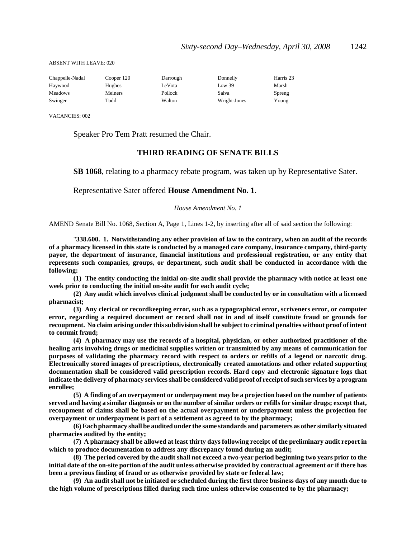ABSENT WITH LEAVE: 020

| Chappelle-Nadal | Cooper 120 | Darrough | Donnelly     | Harris 23 |
|-----------------|------------|----------|--------------|-----------|
| Haywood         | Hughes     | LeVota   | Low 39       | Marsh     |
| <b>Meadows</b>  | Meiners    | Pollock  | Salva        | Spreng    |
| Swinger         | Todd       | Walton   | Wright-Jones | Young     |

VACANCIES: 002

Speaker Pro Tem Pratt resumed the Chair.

### **THIRD READING OF SENATE BILLS**

**SB 1068**, relating to a pharmacy rebate program, was taken up by Representative Sater.

Representative Sater offered **House Amendment No. 1**.

#### *House Amendment No. 1*

AMEND Senate Bill No. 1068, Section A, Page 1, Lines 1-2, by inserting after all of said section the following:

"**338.600. 1. Notwithstanding any other provision of law to the contrary, when an audit of the records of a pharmacy licensed in this state is conducted by a managed care company, insurance company, third-party payor, the department of insurance, financial institutions and professional registration, or any entity that represents such companies, groups, or department, such audit shall be conducted in accordance with the following:**

**(1) The entity conducting the initial on-site audit shall provide the pharmacy with notice at least one week prior to conducting the initial on-site audit for each audit cycle;**

**(2) Any audit which involves clinical judgment shall be conducted by or in consultation with a licensed pharmacist;**

**(3) Any clerical or recordkeeping error, such as a typographical error, scriveners error, or computer error, regarding a required document or record shall not in and of itself constitute fraud or grounds for recoupment. No claim arising under this subdivision shall be subject to criminal penalties without proof of intent to commit fraud;**

**(4) A pharmacy may use the records of a hospital, physician, or other authorized practitioner of the healing arts involving drugs or medicinal supplies written or transmitted by any means of communication for purposes of validating the pharmacy record with respect to orders or refills of a legend or narcotic drug. Electronically stored images of prescriptions, electronically created annotations and other related supporting documentation shall be considered valid prescription records. Hard copy and electronic signature logs that indicate the delivery of pharmacy services shall be considered valid proof of receipt of such services by a program enrollee;**

**(5) A finding of an overpayment or underpayment may be a projection based on the number of patients served and having a similar diagnosis or on the number of similar orders or refills for similar drugs; except that, recoupment of claims shall be based on the actual overpayment or underpayment unless the projection for overpayment or underpayment is part of a settlement as agreed to by the pharmacy;**

**(6) Each pharmacy shall be audited under the same standards and parameters as other similarly situated pharmacies audited by the entity;**

**(7) A pharmacy shall be allowed at least thirty days following receipt of the preliminary audit report in which to produce documentation to address any discrepancy found during an audit;**

**(8) The period covered by the audit shall not exceed a two-year period beginning two years prior to the initial date of the on-site portion of the audit unless otherwise provided by contractual agreement or if there has been a previous finding of fraud or as otherwise provided by state or federal law;**

**(9) An audit shall not be initiated or scheduled during the first three business days of any month due to the high volume of prescriptions filled during such time unless otherwise consented to by the pharmacy;**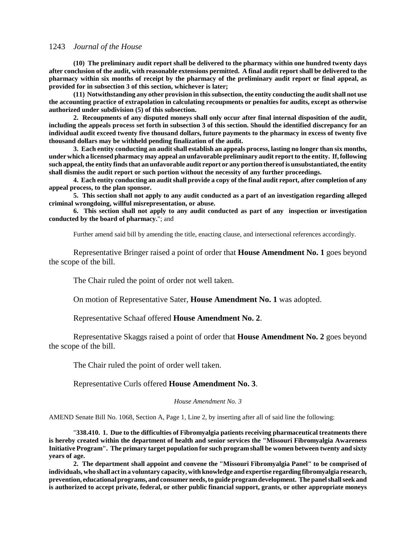**(10) The preliminary audit report shall be delivered to the pharmacy within one hundred twenty days after conclusion of the audit, with reasonable extensions permitted. A final audit report shall be delivered to the pharmacy within six months of receipt by the pharmacy of the preliminary audit report or final appeal, as provided for in subsection 3 of this section, whichever is later;**

**(11) Notwithstanding any other provision in this subsection, the entity conducting the audit shall not use the accounting practice of extrapolation in calculating recoupments or penalties for audits, except as otherwise authorized under subdivision (5) of this subsection.**

**2. Recoupments of any disputed moneys shall only occur after final internal disposition of the audit, including the appeals process set forth in subsection 3 of this section. Should the identified discrepancy for an individual audit exceed twenty five thousand dollars, future payments to the pharmacy in excess of twenty five thousand dollars may be withheld pending finalization of the audit.**

**3. Each entity conducting an audit shall establish an appeals process, lasting no longer than six months, under which a licensed pharmacy may appeal an unfavorable preliminary audit report to the entity. If, following such appeal, the entity finds that an unfavorable audit report or any portion thereof is unsubstantiated, the entity shall dismiss the audit report or such portion without the necessity of any further proceedings.**

**4. Each entity conducting an audit shall provide a copy of the final audit report, after completion of any appeal process, to the plan sponsor.**

**5. This section shall not apply to any audit conducted as a part of an investigation regarding alleged criminal wrongdoing, willful misrepresentation, or abuse.**

**6. This section shall not apply to any audit conducted as part of any inspection or investigation conducted by the board of pharmacy.**"; and

Further amend said bill by amending the title, enacting clause, and intersectional references accordingly.

Representative Bringer raised a point of order that **House Amendment No. 1** goes beyond the scope of the bill.

The Chair ruled the point of order not well taken.

On motion of Representative Sater, **House Amendment No. 1** was adopted.

Representative Schaaf offered **House Amendment No. 2**.

Representative Skaggs raised a point of order that **House Amendment No. 2** goes beyond the scope of the bill.

The Chair ruled the point of order well taken.

Representative Curls offered **House Amendment No. 3**.

*House Amendment No. 3*

AMEND Senate Bill No. 1068, Section A, Page 1, Line 2, by inserting after all of said line the following:

"**338.410. 1. Due to the difficulties of Fibromyalgia patients receiving pharmaceutical treatments there is hereby created within the department of health and senior services the "Missouri Fibromyalgia Awareness Initiative Program". The primary target population for such program shall be women between twenty and sixty years of age.**

**2. The department shall appoint and convene the "Missouri Fibromyalgia Panel" to be comprised of individuals, who shall act in a voluntary capacity, with knowledge and expertise regarding fibromyalgia research, prevention, educational programs, and consumer needs, to guide program development. The panel shall seek and is authorized to accept private, federal, or other public financial support, grants, or other appropriate moneys**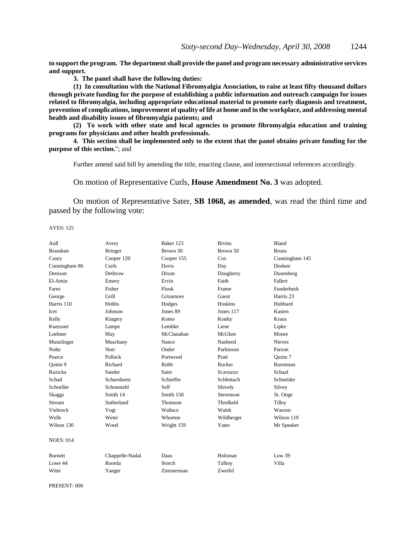**to support the program. The department shall provide the panel and program necessary administrative services and support.**

**3. The panel shall have the following duties:**

**(1) In consultation with the National Fibromyalgia Association, to raise at least fifty thousand dollars through private funding for the purpose of establishing a public information and outreach campaign for issues related to fibromyalgia, including appropriate educational material to promote early diagnosis and treatment, prevention of complications, improvement of quality of life at home and in the workplace, and addressing mental health and disability issues of fibromyalgia patients; and**

**(2) To work with other state and local agencies to promote fibromyalgia education and training programs for physicians and other health professionals.**

**4. This section shall be implemented only to the extent that the panel obtains private funding for the purpose of this section.**"; and

Further amend said bill by amending the title, enacting clause, and intersectional references accordingly.

On motion of Representative Curls, **House Amendment No. 3** was adopted.

On motion of Representative Sater, **SB 1068, as amended**, was read the third time and passed by the following vote:

AYES: 125

| Aull             | Avery              | Baker 123  | <b>Bivins</b> | Bland          |
|------------------|--------------------|------------|---------------|----------------|
| <b>Brandom</b>   | <b>Bringer</b>     | Brown 30   | Brown 50      | <b>Bruns</b>   |
| Casey            | Cooper 120         | Cooper 155 | Cox           | Cunningham 145 |
| Cunningham 86    | Curls              | Davis      | Day           | Deeken         |
| Denison          | Dethrow            | Dixon      | Dougherty     | Dusenberg      |
| El-Amin          | Emery              | Ervin      | Faith         | Fallert        |
| Fares            | Fisher             | Flook      | Frame         | Funderburk     |
| George           | Grill              | Grisamore  | Guest         | Harris 23      |
| Harris 110       | Hobbs              | Hodges     | Hoskins       | Hubbard        |
| Icet             | Johnson            | Jones 89   | Jones 117     | Kasten         |
| Kelly            | Kingery            | Komo       | Kratky        | <b>Kraus</b>   |
| Kuessner         | Lampe              | Lembke     | Liese         | Lipke          |
| Loehner          | May                | McClanahan | McGhee        | Moore          |
| Munzlinger       | Muschany           | Nance      | Nasheed       | <b>Nieves</b>  |
| Nolte            | Norr               | Onder      | Parkinson     | Parson         |
| Pearce           | Pollock            | Portwood   | Pratt         | Ouinn 7        |
| Quinn 9          | Richard            | Robb       | Rucker        | Ruestman       |
| Ruzicka          | Sander             | Sater      | Scavuzzo      | Schaaf         |
| Schad            | <b>Scharnhorst</b> | Schieffer  | Schlottach    | Schneider      |
| Schoeller        | Schoemehl          | Self       | Shively       | Silvey         |
| Skaggs           | Smith 14           | Smith 150  | Stevenson     | St. Onge       |
| Stream           | Sutherland         | Thomson    | Threlkeld     | Tilley         |
| Viebrock         | Vogt               | Wallace    | Walsh         | Wasson         |
| Wells            | Weter              | Whorton    | Wildberger    | Wilson 119     |
| Wilson 130       | Wood               | Wright 159 | Yates         | Mr Speaker     |
| <b>NOES: 014</b> |                    |            |               |                |
| <b>Burnett</b>   | Chappelle-Nadal    | Daus       | Holsman       | Low 39         |
| Lowe 44          | Roorda             | Storch     | Talboy        | Villa          |
| Witte            | Yaeger             | Zimmerman  | Zweifel       |                |

PRESENT: 000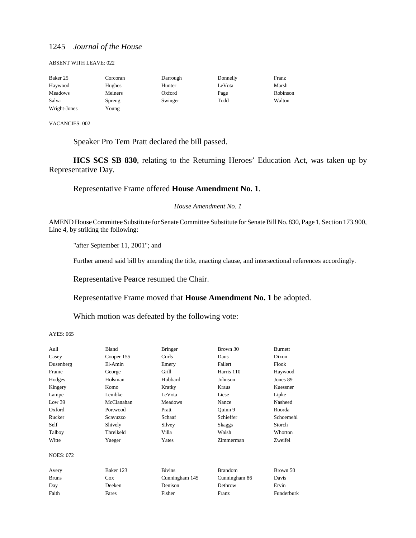#### ABSENT WITH LEAVE: 022

| Baker 25       | Corcoran | Darrough | Donnelly | Franz    |
|----------------|----------|----------|----------|----------|
| Haywood        | Hughes   | Hunter   | LeVota   | Marsh    |
| <b>Meadows</b> | Meiners  | Oxford   | Page     | Robinson |
| Salva          | Spreng   | Swinger  | Todd     | Walton   |
| Wright-Jones   | Young    |          |          |          |

VACANCIES: 002

Speaker Pro Tem Pratt declared the bill passed.

**HCS SCS SB 830**, relating to the Returning Heroes' Education Act, was taken up by Representative Day.

## Representative Frame offered **House Amendment No. 1**.

#### *House Amendment No. 1*

AMEND House Committee Substitute for Senate Committee Substitute for Senate Bill No. 830, Page 1, Section 173.900, Line 4, by striking the following:

"after September 11, 2001"; and

Further amend said bill by amending the title, enacting clause, and intersectional references accordingly.

Representative Pearce resumed the Chair.

Representative Frame moved that **House Amendment No. 1** be adopted.

Which motion was defeated by the following vote:

| Aull             | Bland      | <b>Bringer</b> | Brown 30       | <b>Burnett</b> |
|------------------|------------|----------------|----------------|----------------|
| Casey            | Cooper 155 | Curls          | Daus           | Dixon          |
| Dusenberg        | El-Amin    | Emery          | Fallert        | Flook          |
| Frame            | George     | Grill          | Harris 110     | Haywood        |
| Hodges           | Holsman    | Hubbard        | Johnson        | Jones 89       |
| Kingery          | Komo       | Kratky         | Kraus          | Kuessner       |
| Lampe            | Lembke     | LeVota         | Liese          | Lipke          |
| Low 39           | McClanahan | <b>Meadows</b> | Nance          | Nasheed        |
| Oxford           | Portwood   | Pratt          | Quinn 9        | Roorda         |
| Rucker           | Scavuzzo   | Schaaf         | Schieffer      | Schoemehl      |
| Self             | Shively    | Silvey         | Skaggs         | Storch         |
| Talboy           | Threlkeld  | Villa          | Walsh          | Whorton        |
| Witte            | Yaeger     | Yates          | Zimmerman      | Zweifel        |
| <b>NOES: 072</b> |            |                |                |                |
| Avery            | Baker 123  | <b>Bivins</b>  | <b>Brandom</b> | Brown 50       |
| <b>Bruns</b>     | Cox        | Cunningham 145 | Cunningham 86  | Davis          |
| Day              | Deeken     | Denison        | Dethrow        | Ervin          |
| Faith            | Fares      | Fisher         | Franz          | Funderburk     |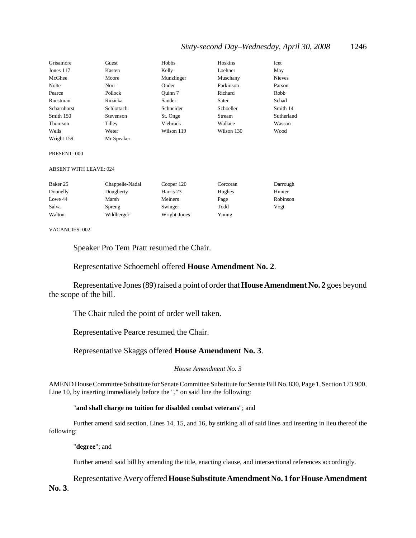## *Sixty-second Day–Wednesday, April 30, 2008* 1246

| Grisamore          | Guest      | Hobbs      | Hoskins    | Icet       |
|--------------------|------------|------------|------------|------------|
| Jones 117          | Kasten     | Kelly      | Loehner    | May        |
| McGhee             | Moore      | Munzlinger | Muschany   | Nieves     |
| Nolte              | Norr       | Onder      | Parkinson  | Parson     |
| Pearce             | Pollock    | Ouinn 7    | Richard    | Robb       |
| Ruestman           | Ruzicka    | Sander     | Sater      | Schad      |
| <b>Scharnhorst</b> | Schlottach | Schneider  | Schoeller  | Smith 14   |
| Smith 150          | Stevenson  | St. Onge   | Stream     | Sutherland |
| Thomson            | Tilley     | Viebrock   | Wallace    | Wasson     |
| Wells              | Weter      | Wilson 119 | Wilson 130 | Wood       |
| Wright 159         | Mr Speaker |            |            |            |

#### PRESENT: 000

#### ABSENT WITH LEAVE: 024

| Baker 25 | Chappelle-Nadal | Cooper 120   | Corcoran | Darrough |
|----------|-----------------|--------------|----------|----------|
| Donnelly | Dougherty       | Harris 23    | Hughes   | Hunter   |
| Lowe 44  | Marsh           | Meiners      | Page     | Robinson |
| Salva    | Spreng          | Swinger      | Todd     | Vogt     |
| Walton   | Wildberger      | Wright-Jones | Young    |          |

#### VACANCIES: 002

Speaker Pro Tem Pratt resumed the Chair.

Representative Schoemehl offered **House Amendment No. 2**.

Representative Jones (89) raised a point of order that **House Amendment No. 2** goes beyond the scope of the bill.

The Chair ruled the point of order well taken.

Representative Pearce resumed the Chair.

Representative Skaggs offered **House Amendment No. 3**.

*House Amendment No. 3*

AMEND House Committee Substitute for Senate Committee Substitute for Senate Bill No. 830, Page 1, Section 173.900, Line 10, by inserting immediately before the "," on said line the following:

#### "**and shall charge no tuition for disabled combat veterans**"; and

Further amend said section, Lines 14, 15, and 16, by striking all of said lines and inserting in lieu thereof the following:

"**degree**"; and

Further amend said bill by amending the title, enacting clause, and intersectional references accordingly.

Representative Avery offered **House Substitute Amendment No. 1 for House Amendment No. 3**.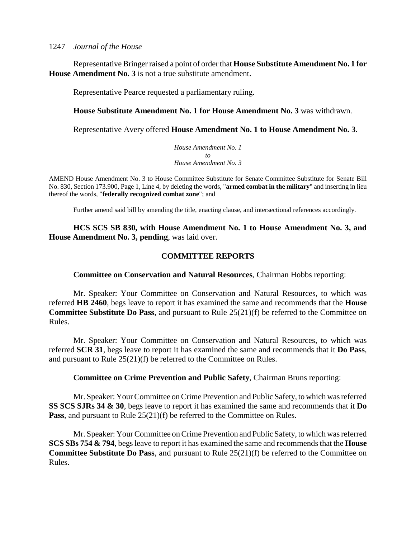Representative Bringer raised a point of order that **House Substitute Amendment No. 1 for House Amendment No. 3** is not a true substitute amendment.

Representative Pearce requested a parliamentary ruling.

## **House Substitute Amendment No. 1 for House Amendment No. 3** was withdrawn.

Representative Avery offered **House Amendment No. 1 to House Amendment No. 3**.

*House Amendment No. 1 to House Amendment No. 3*

AMEND House Amendment No. 3 to House Committee Substitute for Senate Committee Substitute for Senate Bill No. 830, Section 173.900, Page 1, Line 4, by deleting the words, "**armed combat in the military**" and inserting in lieu thereof the words, "**federally recognized combat zone**"; and

Further amend said bill by amending the title, enacting clause, and intersectional references accordingly.

**HCS SCS SB 830, with House Amendment No. 1 to House Amendment No. 3, and House Amendment No. 3, pending**, was laid over.

## **COMMITTEE REPORTS**

## **Committee on Conservation and Natural Resources**, Chairman Hobbs reporting:

Mr. Speaker: Your Committee on Conservation and Natural Resources, to which was referred **HB 2460**, begs leave to report it has examined the same and recommends that the **House Committee Substitute Do Pass**, and pursuant to Rule 25(21)(f) be referred to the Committee on Rules.

Mr. Speaker: Your Committee on Conservation and Natural Resources, to which was referred **SCR 31**, begs leave to report it has examined the same and recommends that it **Do Pass**, and pursuant to Rule 25(21)(f) be referred to the Committee on Rules.

## **Committee on Crime Prevention and Public Safety**, Chairman Bruns reporting:

Mr. Speaker: Your Committee on Crime Prevention and Public Safety, to which was referred **SS SCS SJRs 34 & 30**, begs leave to report it has examined the same and recommends that it **Do Pass**, and pursuant to Rule 25(21)(f) be referred to the Committee on Rules.

Mr. Speaker: Your Committee on Crime Prevention and Public Safety, to which was referred **SCS SBs 754 & 794**, begs leave to report it has examined the same and recommends that the **House Committee Substitute Do Pass**, and pursuant to Rule 25(21)(f) be referred to the Committee on Rules.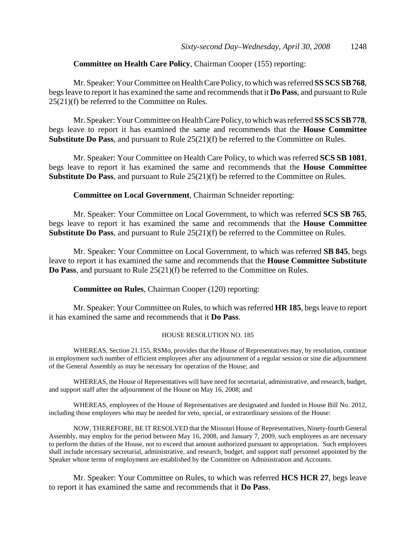## **Committee on Health Care Policy**, Chairman Cooper (155) reporting:

Mr. Speaker: Your Committee on Health Care Policy, to which was referred **SS SCS SB 768**, begs leave to report it has examined the same and recommends that it **Do Pass**, and pursuant to Rule 25(21)(f) be referred to the Committee on Rules.

Mr. Speaker: Your Committee on Health Care Policy, to which was referred **SS SCS SB 778**, begs leave to report it has examined the same and recommends that the **House Committee Substitute Do Pass**, and pursuant to Rule 25(21)(f) be referred to the Committee on Rules.

Mr. Speaker: Your Committee on Health Care Policy, to which was referred **SCS SB 1081**, begs leave to report it has examined the same and recommends that the **House Committee Substitute Do Pass**, and pursuant to Rule 25(21)(f) be referred to the Committee on Rules.

**Committee on Local Government**, Chairman Schneider reporting:

Mr. Speaker: Your Committee on Local Government, to which was referred **SCS SB 765**, begs leave to report it has examined the same and recommends that the **House Committee Substitute Do Pass**, and pursuant to Rule 25(21)(f) be referred to the Committee on Rules.

Mr. Speaker: Your Committee on Local Government, to which was referred **SB 845**, begs leave to report it has examined the same and recommends that the **House Committee Substitute Do Pass**, and pursuant to Rule 25(21)(f) be referred to the Committee on Rules.

**Committee on Rules**, Chairman Cooper (120) reporting:

Mr. Speaker: Your Committee on Rules, to which was referred **HR 185**, begs leave to report it has examined the same and recommends that it **Do Pass**.

#### HOUSE RESOLUTION NO. 185

WHEREAS, Section 21.155, RSMo, provides that the House of Representatives may, by resolution, continue in employment such number of efficient employees after any adjournment of a regular session or sine die adjournment of the General Assembly as may be necessary for operation of the House; and

WHEREAS, the House of Representatives will have need for secretarial, administrative, and research, budget, and support staff after the adjournment of the House on May 16, 2008; and

WHEREAS, employees of the House of Representatives are designated and funded in House Bill No. 2012, including those employees who may be needed for veto, special, or extraordinary sessions of the House:

NOW, THEREFORE, BE IT RESOLVED that the Missouri House of Representatives, Ninety-fourth General Assembly, may employ for the period between May 16, 2008, and January 7, 2009, such employees as are necessary to perform the duties of the House, not to exceed that amount authorized pursuant to appropriation. Such employees shall include necessary secretarial, administrative, and research, budget, and support staff personnel appointed by the Speaker whose terms of employment are established by the Committee on Administration and Accounts.

Mr. Speaker: Your Committee on Rules, to which was referred **HCS HCR 27**, begs leave to report it has examined the same and recommends that it **Do Pass**.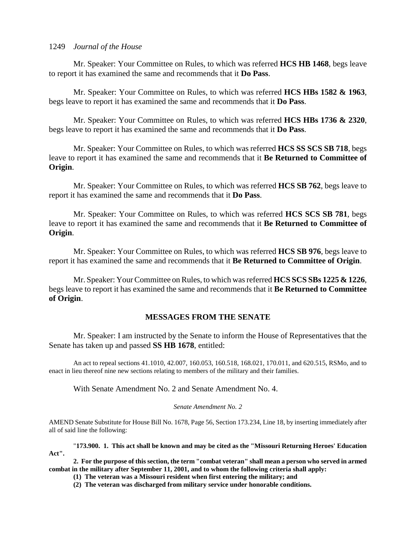Mr. Speaker: Your Committee on Rules, to which was referred **HCS HB 1468**, begs leave to report it has examined the same and recommends that it **Do Pass**.

Mr. Speaker: Your Committee on Rules, to which was referred **HCS HBs 1582 & 1963**, begs leave to report it has examined the same and recommends that it **Do Pass**.

Mr. Speaker: Your Committee on Rules, to which was referred **HCS HBs 1736 & 2320**, begs leave to report it has examined the same and recommends that it **Do Pass**.

Mr. Speaker: Your Committee on Rules, to which was referred **HCS SS SCS SB 718**, begs leave to report it has examined the same and recommends that it **Be Returned to Committee of Origin**.

Mr. Speaker: Your Committee on Rules, to which was referred **HCS SB 762**, begs leave to report it has examined the same and recommends that it **Do Pass**.

Mr. Speaker: Your Committee on Rules, to which was referred **HCS SCS SB 781**, begs leave to report it has examined the same and recommends that it **Be Returned to Committee of Origin**.

Mr. Speaker: Your Committee on Rules, to which was referred **HCS SB 976**, begs leave to report it has examined the same and recommends that it **Be Returned to Committee of Origin**.

Mr. Speaker: Your Committee on Rules, to which was referred **HCS SCS SBs 1225 & 1226**, begs leave to report it has examined the same and recommends that it **Be Returned to Committee of Origin**.

## **MESSAGES FROM THE SENATE**

Mr. Speaker: I am instructed by the Senate to inform the House of Representatives that the Senate has taken up and passed **SS HB 1678**, entitled:

An act to repeal sections 41.1010, 42.007, 160.053, 160.518, 168.021, 170.011, and 620.515, RSMo, and to enact in lieu thereof nine new sections relating to members of the military and their families.

With Senate Amendment No. 2 and Senate Amendment No. 4.

### *Senate Amendment No. 2*

AMEND Senate Substitute for House Bill No. 1678, Page 56, Section 173.234, Line 18, by inserting immediately after all of said line the following:

"**173.900. 1. This act shall be known and may be cited as the "Missouri Returning Heroes' Education Act".**

**2. For the purpose of this section, the term "combat veteran" shall mean a person who served in armed combat in the military after September 11, 2001, and to whom the following criteria shall apply:**

**(1) The veteran was a Missouri resident when first entering the military; and**

**(2) The veteran was discharged from military service under honorable conditions.**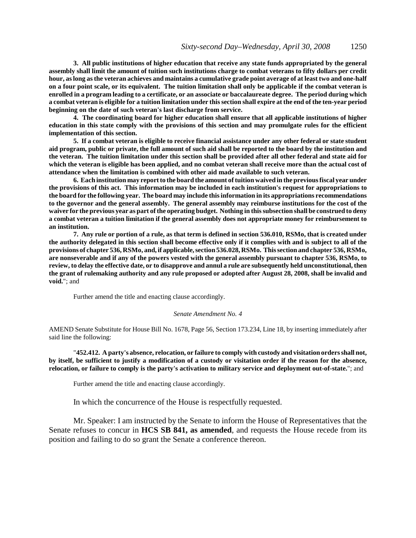**3. All public institutions of higher education that receive any state funds appropriated by the general assembly shall limit the amount of tuition such institutions charge to combat veterans to fifty dollars per credit hour, as long as the veteran achieves and maintains a cumulative grade point average of at least two and one-half on a four point scale, or its equivalent. The tuition limitation shall only be applicable if the combat veteran is enrolled in a program leading to a certificate, or an associate or baccalaureate degree. The period during which a combat veteran is eligible for a tuition limitation under this section shall expire at the end of the ten-year period beginning on the date of such veteran's last discharge from service.**

**4. The coordinating board for higher education shall ensure that all applicable institutions of higher education in this state comply with the provisions of this section and may promulgate rules for the efficient implementation of this section.**

**5. If a combat veteran is eligible to receive financial assistance under any other federal or state student aid program, public or private, the full amount of such aid shall be reported to the board by the institution and the veteran. The tuition limitation under this section shall be provided after all other federal and state aid for which the veteran is eligible has been applied, and no combat veteran shall receive more than the actual cost of attendance when the limitation is combined with other aid made available to such veteran.**

**6. Each institution may report to the board the amount of tuition waived in the previous fiscal year under the provisions of this act. This information may be included in each institution's request for appropriations to the board for the following year. The board may include this information in its appropriations recommendations to the governor and the general assembly. The general assembly may reimburse institutions for the cost of the waiver for the previous year as part of the operating budget. Nothing in this subsection shall be construed to deny a combat veteran a tuition limitation if the general assembly does not appropriate money for reimbursement to an institution.**

**7. Any rule or portion of a rule, as that term is defined in section 536.010, RSMo, that is created under the authority delegated in this section shall become effective only if it complies with and is subject to all of the provisions of chapter 536, RSMo, and, if applicable, section 536.028, RSMo. This section and chapter 536, RSMo, are nonseverable and if any of the powers vested with the general assembly pursuant to chapter 536, RSMo, to review, to delay the effective date, or to disapprove and annul a rule are subsequently held unconstitutional, then the grant of rulemaking authority and any rule proposed or adopted after August 28, 2008, shall be invalid and void.**"; and

Further amend the title and enacting clause accordingly.

#### *Senate Amendment No. 4*

AMEND Senate Substitute for House Bill No. 1678, Page 56, Section 173.234, Line 18, by inserting immediately after said line the following:

"**452.412. A party's absence, relocation, or failure to comply with custody and visitation orders shall not, by itself, be sufficient to justify a modification of a custody or visitation order if the reason for the absence, relocation, or failure to comply is the party's activation to military service and deployment out-of-state.**"; and

Further amend the title and enacting clause accordingly.

In which the concurrence of the House is respectfully requested.

Mr. Speaker: I am instructed by the Senate to inform the House of Representatives that the Senate refuses to concur in **HCS SB 841, as amended**, and requests the House recede from its position and failing to do so grant the Senate a conference thereon.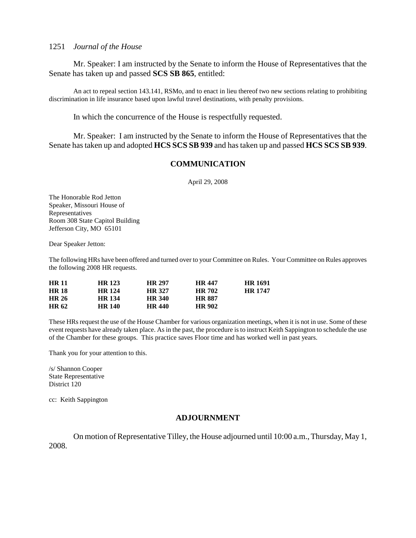Mr. Speaker: I am instructed by the Senate to inform the House of Representatives that the Senate has taken up and passed **SCS SB 865**, entitled:

An act to repeal section 143.141, RSMo, and to enact in lieu thereof two new sections relating to prohibiting discrimination in life insurance based upon lawful travel destinations, with penalty provisions.

In which the concurrence of the House is respectfully requested.

Mr. Speaker: I am instructed by the Senate to inform the House of Representatives that the Senate has taken up and adopted **HCS SCS SB 939** and has taken up and passed **HCS SCS SB 939**.

### **COMMUNICATION**

April 29, 2008

The Honorable Rod Jetton Speaker, Missouri House of Representatives Room 308 State Capitol Building Jefferson City, MO 65101

Dear Speaker Jetton:

The following HRs have been offered and turned over to your Committee on Rules. Your Committee on Rules approves the following 2008 HR requests.

| <b>HR 11</b> | <b>HR</b> 123 | <b>HR 297</b> | <b>HR 447</b> | <b>HR</b> 1691 |
|--------------|---------------|---------------|---------------|----------------|
| <b>HR 18</b> | HR 124        | <b>HR 327</b> | <b>HR 702</b> | <b>HR 1747</b> |
| <b>HR 26</b> | <b>HR</b> 134 | <b>HR 340</b> | <b>HR 887</b> |                |
| <b>HR 62</b> | <b>HR 140</b> | <b>HR 440</b> | <b>HR 902</b> |                |

These HRs request the use of the House Chamber for various organization meetings, when it is not in use. Some of these event requests have already taken place. As in the past, the procedure is to instruct Keith Sappington to schedule the use of the Chamber for these groups. This practice saves Floor time and has worked well in past years.

Thank you for your attention to this.

/s/ Shannon Cooper State Representative District 120

cc: Keith Sappington

### **ADJOURNMENT**

On motion of Representative Tilley, the House adjourned until 10:00 a.m., Thursday, May 1, 2008.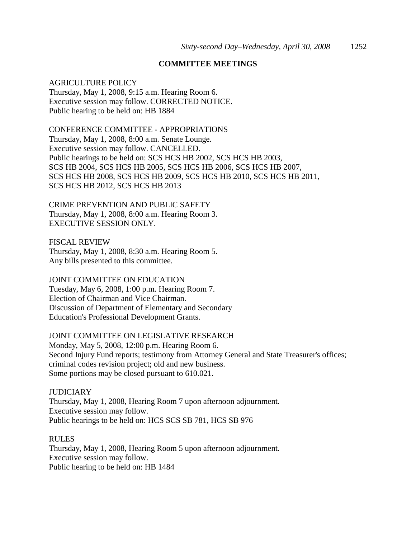## **COMMITTEE MEETINGS**

## AGRICULTURE POLICY

Thursday, May 1, 2008, 9:15 a.m. Hearing Room 6. Executive session may follow. CORRECTED NOTICE. Public hearing to be held on: HB 1884

CONFERENCE COMMITTEE - APPROPRIATIONS Thursday, May 1, 2008, 8:00 a.m. Senate Lounge. Executive session may follow. CANCELLED. Public hearings to be held on: SCS HCS HB 2002, SCS HCS HB 2003, SCS HB 2004, SCS HCS HB 2005, SCS HCS HB 2006, SCS HCS HB 2007, SCS HCS HB 2008, SCS HCS HB 2009, SCS HCS HB 2010, SCS HCS HB 2011, SCS HCS HB 2012, SCS HCS HB 2013

CRIME PREVENTION AND PUBLIC SAFETY Thursday, May 1, 2008, 8:00 a.m. Hearing Room 3. EXECUTIVE SESSION ONLY.

FISCAL REVIEW Thursday, May 1, 2008, 8:30 a.m. Hearing Room 5. Any bills presented to this committee.

## JOINT COMMITTEE ON EDUCATION

Tuesday, May 6, 2008, 1:00 p.m. Hearing Room 7. Election of Chairman and Vice Chairman. Discussion of Department of Elementary and Secondary Education's Professional Development Grants.

## JOINT COMMITTEE ON LEGISLATIVE RESEARCH

Monday, May 5, 2008, 12:00 p.m. Hearing Room 6. Second Injury Fund reports; testimony from Attorney General and State Treasurer's offices; criminal codes revision project; old and new business. Some portions may be closed pursuant to 610.021.

**JUDICIARY** Thursday, May 1, 2008, Hearing Room 7 upon afternoon adjournment. Executive session may follow. Public hearings to be held on: HCS SCS SB 781, HCS SB 976

### **RULES**

Thursday, May 1, 2008, Hearing Room 5 upon afternoon adjournment. Executive session may follow. Public hearing to be held on: HB 1484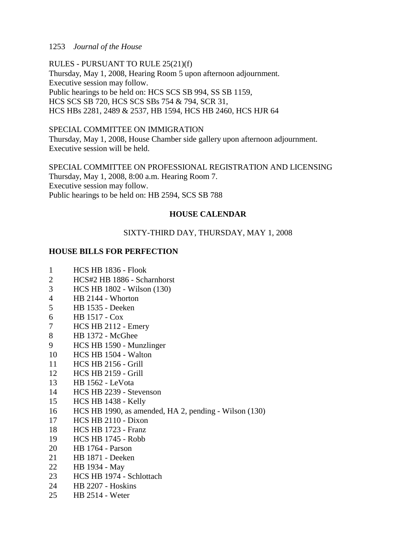RULES - PURSUANT TO RULE 25(21)(f) Thursday, May 1, 2008, Hearing Room 5 upon afternoon adjournment. Executive session may follow. Public hearings to be held on: HCS SCS SB 994, SS SB 1159, HCS SCS SB 720, HCS SCS SBs 754 & 794, SCR 31, HCS HBs 2281, 2489 & 2537, HB 1594, HCS HB 2460, HCS HJR 64

SPECIAL COMMITTEE ON IMMIGRATION Thursday, May 1, 2008, House Chamber side gallery upon afternoon adjournment. Executive session will be held.

SPECIAL COMMITTEE ON PROFESSIONAL REGISTRATION AND LICENSING Thursday, May 1, 2008, 8:00 a.m. Hearing Room 7. Executive session may follow. Public hearings to be held on: HB 2594, SCS SB 788

## **HOUSE CALENDAR**

## SIXTY-THIRD DAY, THURSDAY, MAY 1, 2008

## **HOUSE BILLS FOR PERFECTION**

- 1 HCS HB 1836 Flook
- 2 HCS#2 HB 1886 Scharnhorst
- 3 HCS HB 1802 Wilson (130)
- 4 HB 2144 Whorton
- 5 HB 1535 Deeken
- 6 HB 1517 Cox
- 7 HCS HB 2112 Emery
- 8 HB 1372 McGhee
- 9 HCS HB 1590 Munzlinger
- 10 HCS HB 1504 Walton
- 11 HCS HB 2156 Grill
- 12 HCS HB 2159 Grill
- 13 HB 1562 LeVota
- 14 HCS HB 2239 Stevenson
- 15 HCS HB 1438 Kelly
- 16 HCS HB 1990, as amended, HA 2, pending Wilson (130)
- 17 HCS HB 2110 Dixon
- 18 HCS HB 1723 Franz
- 19 HCS HB 1745 Robb
- 20 HB 1764 Parson
- 21 HB 1871 Deeken
- 22 HB 1934 May
- 23 HCS HB 1974 Schlottach
- 24 HB 2207 Hoskins
- 25 HB 2514 Weter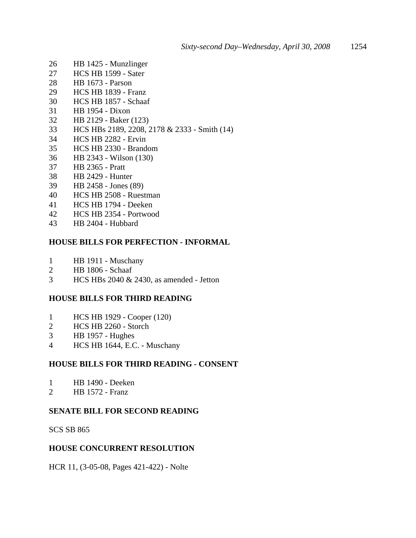- 26 HB 1425 Munzlinger
- 27 HCS HB 1599 Sater
- 28 HB 1673 Parson
- 29 HCS HB 1839 Franz
- 30 HCS HB 1857 Schaaf
- 31 HB 1954 Dixon
- 32 HB 2129 Baker (123)
- 33 HCS HBs 2189, 2208, 2178 & 2333 Smith (14)
- 34 HCS HB 2282 Ervin
- 35 HCS HB 2330 Brandom
- 36 HB 2343 Wilson (130)
- 37 HB 2365 Pratt
- 38 HB 2429 Hunter
- 39 HB 2458 Jones (89)
- 40 HCS HB 2508 Ruestman
- 41 HCS HB 1794 Deeken
- 42 HCS HB 2354 Portwood
- 43 HB 2404 Hubbard

## **HOUSE BILLS FOR PERFECTION - INFORMAL**

- 1 HB 1911 Muschany
- 2 HB 1806 Schaaf
- 3 HCS HBs 2040 & 2430, as amended Jetton

## **HOUSE BILLS FOR THIRD READING**

- 1 HCS HB 1929 Cooper (120)
- 2 HCS HB 2260 Storch
- 3 HB 1957 Hughes
- 4 HCS HB 1644, E.C. Muschany

## **HOUSE BILLS FOR THIRD READING - CONSENT**

- 1 HB 1490 Deeken
- 2 HB 1572 Franz

## **SENATE BILL FOR SECOND READING**

SCS SB 865

## **HOUSE CONCURRENT RESOLUTION**

HCR 11, (3-05-08, Pages 421-422) - Nolte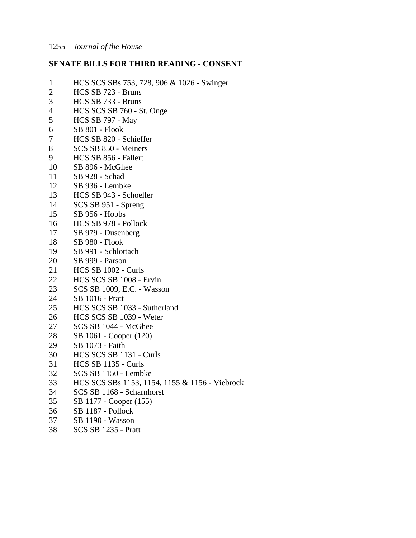## **SENATE BILLS FOR THIRD READING - CONSENT**

- 1 HCS SCS SBs 753, 728, 906 & 1026 Swinger
- 2 HCS SB 723 Bruns
- 3 HCS SB 733 Bruns
- 4 HCS SCS SB 760 St. Onge<br>5 HCS SB 797 May
- 5 HCS SB 797 May
- 6 SB 801 Flook
- 7 HCS SB 820 Schieffer
- 8 SCS SB 850 Meiners
- 9 HCS SB 856 Fallert
- 10 SB 896 McGhee
- 11 SB 928 Schad
- 12 SB 936 Lembke
- 13 HCS SB 943 Schoeller
- 14 SCS SB 951 Spreng
- 15 SB 956 Hobbs
- 16 HCS SB 978 Pollock
- 17 SB 979 Dusenberg
- 18 SB 980 Flook
- 19 SB 991 Schlottach
- 20 SB 999 Parson
- 21 HCS SB 1002 Curls
- 22 HCS SCS SB 1008 Ervin
- 23 SCS SB 1009, E.C. Wasson
- 24 SB 1016 Pratt
- 25 HCS SCS SB 1033 Sutherland
- 26 HCS SCS SB 1039 Weter
- 27 SCS SB 1044 McGhee
- 28 SB 1061 Cooper (120)
- 29 SB 1073 Faith
- 30 HCS SCS SB 1131 Curls
- 31 HCS SB 1135 Curls
- 32 SCS SB 1150 Lembke
- 33 HCS SCS SBs 1153, 1154, 1155 & 1156 Viebrock
- 34 SCS SB 1168 Scharnhorst
- 35 SB 1177 Cooper (155)
- 36 SB 1187 Pollock
- 37 SB 1190 Wasson
- 38 SCS SB 1235 Pratt